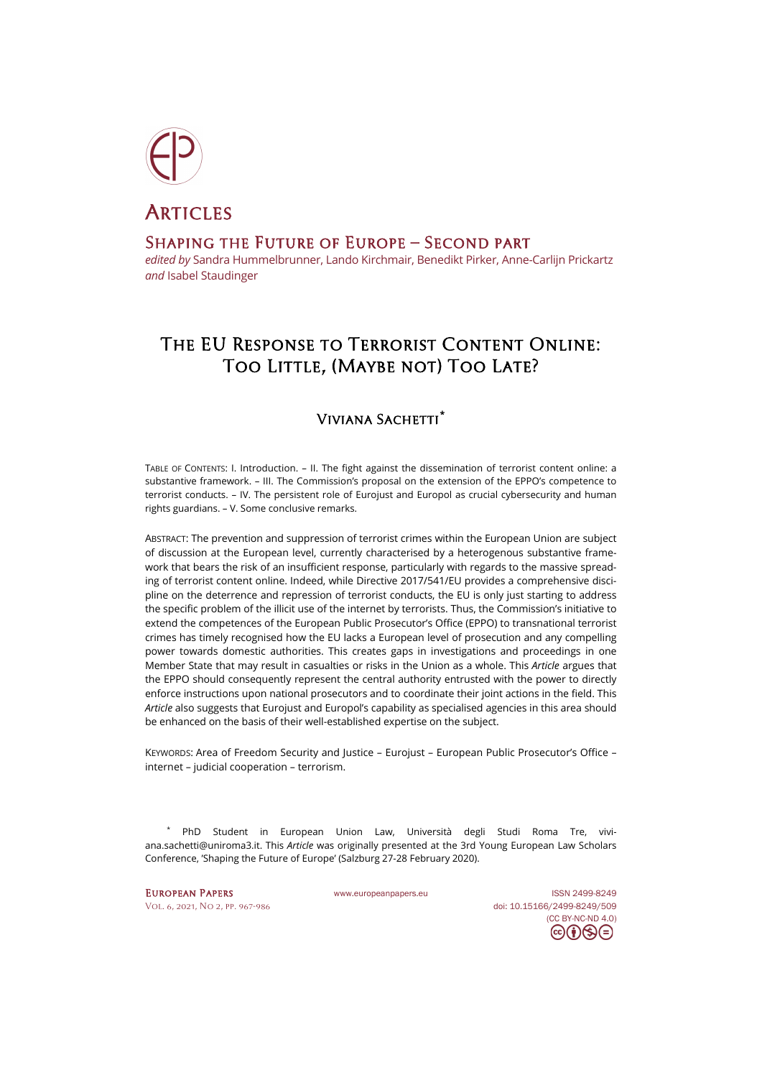

# **ARTICLES** Shaping the Future of Europe – Second part

*edited by* Sandra Hummelbrunner, Lando Kirchmair, Benedikt Pirker, Anne-Carlijn Prickartz *and* Isabel Staudinger

## The EU Response to Terrorist Content Online: TOO LITTLE, (MAYBE NOT) TOO LATE?

### Viviana Sachetti**[\\*](#page-0-0)**

TABLE OF CONTENTS: I. Introduction. – II. The fight against the dissemination of terrorist content online: a substantive framework. – III. The Commission's proposal on the extension of the EPPO's competence to terrorist conducts. – IV. The persistent role of Eurojust and Europol as crucial cybersecurity and human rights guardians. – V. Some conclusive remarks.

ABSTRACT: The prevention and suppression of terrorist crimes within the European Union are subject of discussion at the European level, currently characterised by a heterogenous substantive framework that bears the risk of an insufficient response, particularly with regards to the massive spreading of terrorist content online. Indeed, while Directive 2017/541/EU provides a comprehensive discipline on the deterrence and repression of terrorist conducts, the EU is only just starting to address the specific problem of the illicit use of the internet by terrorists. Thus, the Commission's initiative to extend the competences of the European Public Prosecutor's Office (EPPO) to transnational terrorist crimes has timely recognised how the EU lacks a European level of prosecution and any compelling power towards domestic authorities. This creates gaps in investigations and proceedings in one Member State that may result in casualties or risks in the Union as a whole. This *Article* argues that the EPPO should consequently represent the central authority entrusted with the power to directly enforce instructions upon national prosecutors and to coordinate their joint actions in the field. This *Article* also suggests that Eurojust and Europol's capability as specialised agencies in this area should be enhanced on the basis of their well-established expertise on the subject.

KEYWORDS: Area of Freedom Security and Justice – Eurojust – European Public Prosecutor's Office – internet – judicial cooperation – terrorism.

<span id="page-0-0"></span>PhD Student in European Union Law, Università degli Studi Roma Tre, [vivi](mailto:viviana.sachetti@uniroma3.it)[ana.sachetti@uniroma3.it.](mailto:viviana.sachetti@uniroma3.it) This *Article* was originally presented at the 3rd Young European Law Scholars Conference, 'Shaping the Future of Europe' (Salzburg 27-28 February 2020).

EUROPEAN PAPERS [www.europeanpapers.eu](http://www.europeanpapers.eu/) ISS[N 2499-8249](https://search.datacite.org/works?query=www.europeanpapers.eu) [Vol. 6, 2021, No 2,](https://www.europeanpapers.eu/en/content/e-journal/EP_eJ_2021_2) pp. 967-986 doi[: 10.15166/2499-8249/509](https://search.datacite.org/works/10.15166/2499-8249/509) [\(CC BY-NC-ND 4.0\)](https://creativecommons.org/licenses/by-nc-nd/4.0/)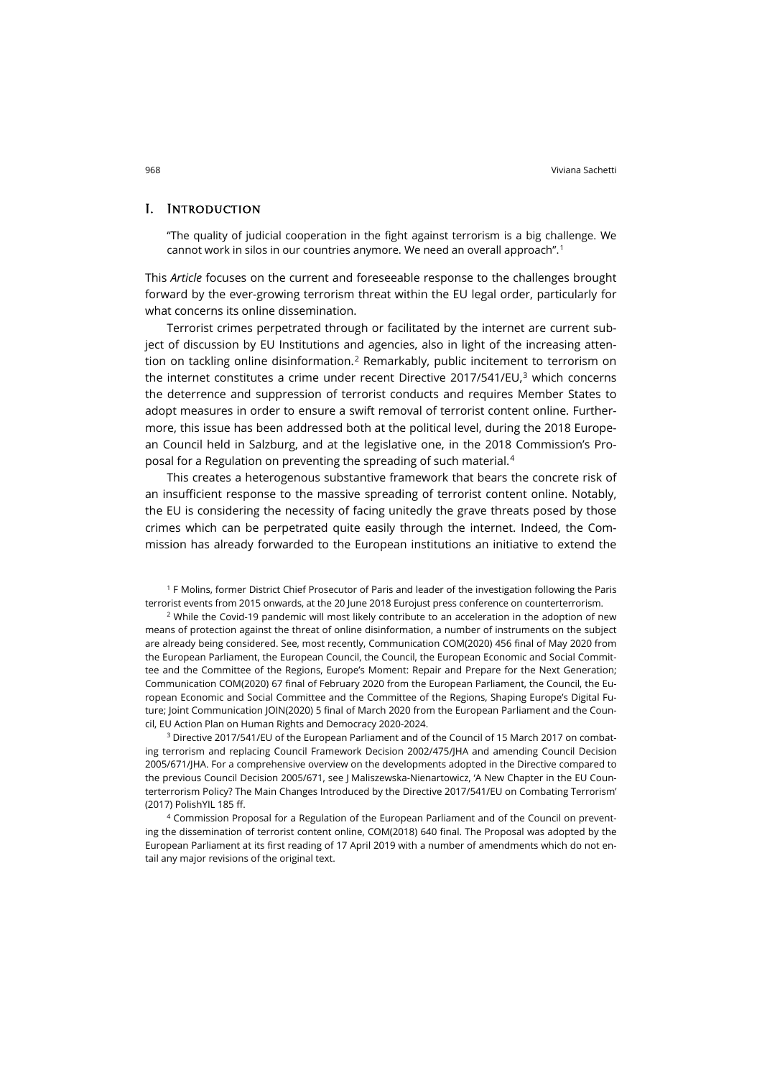#### I. Introduction

"The quality of judicial cooperation in the fight against terrorism is a big challenge. We cannot work in silos in our countries anymore. We need an overall approach".<sup>[1](#page-1-0)</sup>

This *Article* focuses on the current and foreseeable response to the challenges brought forward by the ever-growing terrorism threat within the EU legal order, particularly for what concerns its online dissemination.

Terrorist crimes perpetrated through or facilitated by the internet are current subject of discussion by EU Institutions and agencies, also in light of the increasing atten-tion on tackling online disinformation.<sup>[2](#page-1-1)</sup> Remarkably, public incitement to terrorism on the internet constitutes a crime under recent Directive 2017/541/EU, $3$  which concerns the deterrence and suppression of terrorist conducts and requires Member States to adopt measures in order to ensure a swift removal of terrorist content online. Furthermore, this issue has been addressed both at the political level, during the 2018 European Council held in Salzburg, and at the legislative one, in the 2018 Commission's Proposal for a Regulation on preventing the spreading of such material.[4](#page-1-3)

This creates a heterogenous substantive framework that bears the concrete risk of an insufficient response to the massive spreading of terrorist content online. Notably, the EU is considering the necessity of facing unitedly the grave threats posed by those crimes which can be perpetrated quite easily through the internet. Indeed, the Commission has already forwarded to the European institutions an initiative to extend the

<span id="page-1-0"></span><sup>1</sup> F Molins, former District Chief Prosecutor of Paris and leader of the investigation following the Paris terrorist events from 2015 onwards, at the 20 June 2018 Eurojust press conference on counterterrorism.

<span id="page-1-1"></span><sup>2</sup> While the Covid-19 pandemic will most likely contribute to an acceleration in the adoption of new means of protection against the threat of online disinformation, a number of instruments on the subject are already being considered. See, most recently, Communication COM(2020) 456 final of May 2020 from the European Parliament, the European Council, the Council, the European Economic and Social Committee and the Committee of the Regions, Europe's Moment: Repair and Prepare for the Next Generation; Communication COM(2020) 67 final of February 2020 from the European Parliament, the Council, the European Economic and Social Committee and the Committee of the Regions, Shaping Europe's Digital Future; Joint Communication JOIN(2020) 5 final of March 2020 from the European Parliament and the Council, EU Action Plan on Human Rights and Democracy 2020-2024.

<span id="page-1-2"></span><sup>3</sup> Directive 2017/541/EU of the European Parliament and of the Council of 15 March 2017 on combating terrorism and replacing Council Framework Decision 2002/475/JHA and amending Council Decision 2005/671/JHA. For a comprehensive overview on the developments adopted in the Directive compared to the previous Council Decision 2005/671, see J Maliszewska-Nienartowicz, 'A New Chapter in the EU Counterterrorism Policy? The Main Changes Introduced by the Directive 2017/541/EU on Combating Terrorism' (2017) PolishYIL 185 ff.

<span id="page-1-3"></span><sup>4</sup> Commission Proposal for a Regulation of the European Parliament and of the Council on preventing the dissemination of terrorist content online, COM(2018) 640 final. The Proposal was adopted by the European Parliament at its first reading of 17 April 2019 with a number of amendments which do not entail any major revisions of the original text.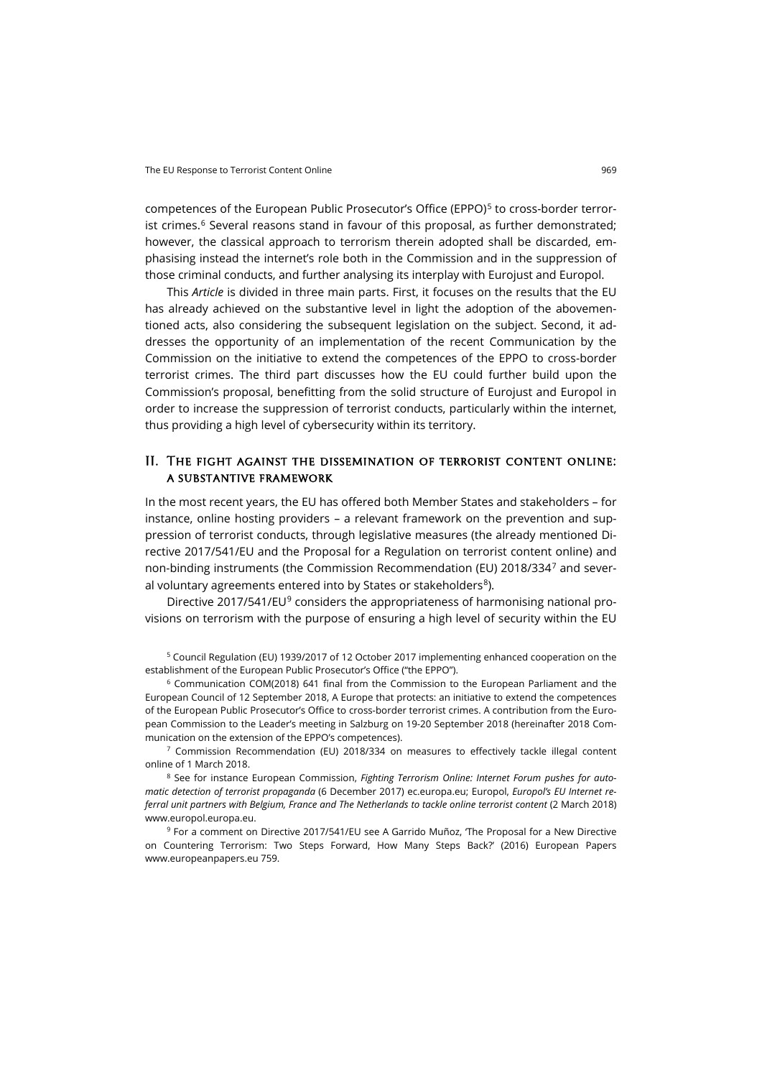competences of the European Public Prosecutor's Office (EPPO)<sup>[5](#page-2-0)</sup> to cross-border terrorist crimes.<sup>6</sup> Several reasons stand in favour of this proposal, as further demonstrated: however, the classical approach to terrorism therein adopted shall be discarded, emphasising instead the internet's role both in the Commission and in the suppression of those criminal conducts, and further analysing its interplay with Eurojust and Europol.

This *Article* is divided in three main parts. First, it focuses on the results that the EU has already achieved on the substantive level in light the adoption of the abovementioned acts, also considering the subsequent legislation on the subject. Second, it addresses the opportunity of an implementation of the recent Communication by the Commission on the initiative to extend the competences of the EPPO to cross-border terrorist crimes. The third part discusses how the EU could further build upon the Commission's proposal, benefitting from the solid structure of Eurojust and Europol in order to increase the suppression of terrorist conducts, particularly within the internet, thus providing a high level of cybersecurity within its territory.

#### II. The fight against the dissemination of terrorist content online: a substantive framework

In the most recent years, the EU has offered both Member States and stakeholders – for instance, online hosting providers – a relevant framework on the prevention and suppression of terrorist conducts, through legislative measures (the already mentioned Directive 2017/541/EU and the Proposal for a Regulation on terrorist content online) and non-binding instruments (the Commission Recommendation (EU) 2018/334[7](#page-2-2) and several voluntary agreements entered into by States or stakeholders<sup>8</sup>).

Directive 2017/541/EU<sup>[9](#page-2-4)</sup> considers the appropriateness of harmonising national provisions on terrorism with the purpose of ensuring a high level of security within the EU

<span id="page-2-0"></span><sup>5</sup> Council Regulation (EU) 1939/2017 of 12 October 2017 implementing enhanced cooperation on the establishment of the European Public Prosecutor's Office ("the EPPO").

<span id="page-2-1"></span><sup>6</sup> Communication COM(2018) 641 final from the Commission to the European Parliament and the European Council of 12 September 2018, A Europe that protects: an initiative to extend the competences of the European Public Prosecutor's Office to cross-border terrorist crimes. A contribution from the European Commission to the Leader's meeting in Salzburg on 19-20 September 2018 (hereinafter 2018 Communication on the extension of the EPPO's competences).

<span id="page-2-2"></span> $7$  Commission Recommendation (EU) 2018/334 on measures to effectively tackle illegal content online of 1 March 2018.

<span id="page-2-3"></span><sup>8</sup> See for instance European Commission, *Fighting Terrorism Online: Internet Forum pushes for automatic detection of terrorist propaganda* (6 December 2017) [ec.europa.eu;](https://ec.europa.eu/commission/presscorner/detail/en/IP_17_5105) Europol, *Europol's EU Internet referral unit partners with Belgium, France and The Netherlands to tackle online terrorist content* (2 March 2018) [www.europol.europa.eu.](https://www.europol.europa.eu/newsroom/news/europol%E2%80%99s-eu-internet-referral-unit-partners-belgium-france-and-netherlands-to-tackle-online-terrorist-content) 

<span id="page-2-4"></span><sup>9</sup> For a comment on Directive 2017/541/EU see A Garrido Muñoz, 'The Proposal for a New Directive on Countering Terrorism: Two Steps Forward, How Many Steps Back?' (2016) European Papers [www.europeanpapers.eu](https://www.europeanpapers.eu/en/system/files/pdf_version/EP_EF_2016_H_019_Asier_Garrido_Munoz_00067.pdf) 759.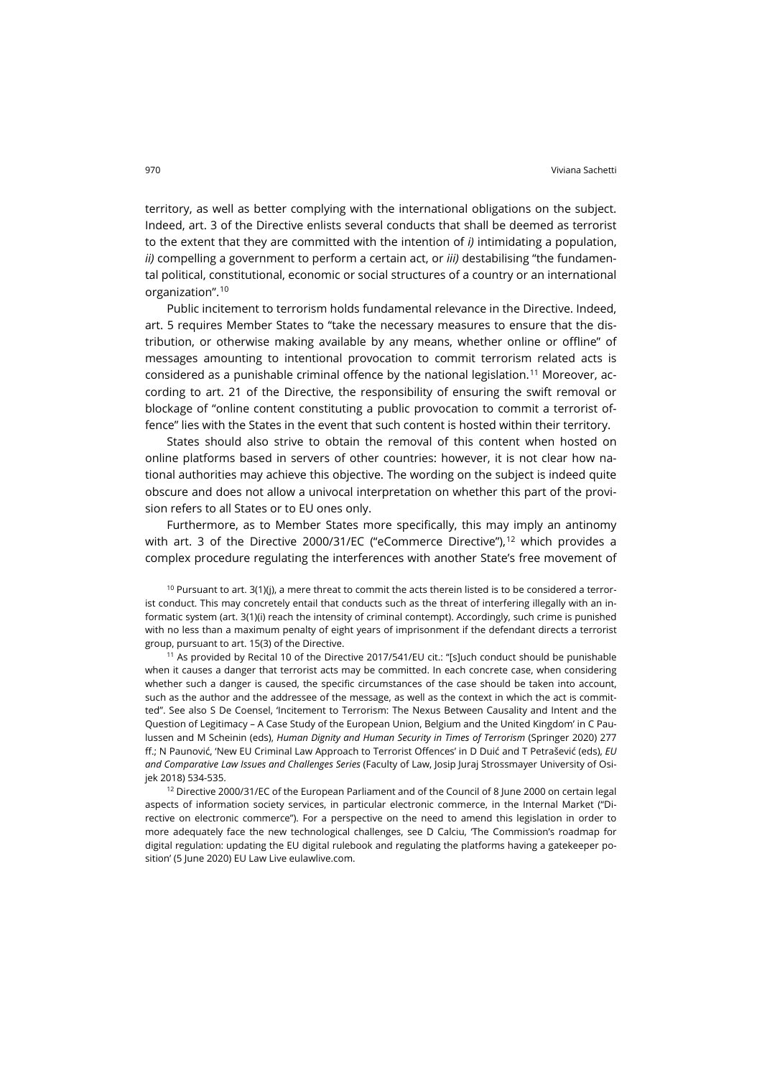territory, as well as better complying with the international obligations on the subject. Indeed, art. 3 of the Directive enlists several conducts that shall be deemed as terrorist to the extent that they are committed with the intention of *i)* intimidating a population, *ii)* compelling a government to perform a certain act, or *iii)* destabilising "the fundamental political, constitutional, economic or social structures of a country or an international organization".[10](#page-3-0)

Public incitement to terrorism holds fundamental relevance in the Directive. Indeed, art. 5 requires Member States to "take the necessary measures to ensure that the distribution, or otherwise making available by any means, whether online or offline" of messages amounting to intentional provocation to commit terrorism related acts is considered as a punishable criminal offence by the national legislation.[11](#page-3-1) Moreover, according to art. 21 of the Directive, the responsibility of ensuring the swift removal or blockage of "online content constituting a public provocation to commit a terrorist offence" lies with the States in the event that such content is hosted within their territory.

States should also strive to obtain the removal of this content when hosted on online platforms based in servers of other countries: however, it is not clear how national authorities may achieve this objective. The wording on the subject is indeed quite obscure and does not allow a univocal interpretation on whether this part of the provision refers to all States or to EU ones only.

Furthermore, as to Member States more specifically, this may imply an antinomy with art. 3 of the Directive 2000/31/EC ("eCommerce Directive"), $^{12}$  $^{12}$  $^{12}$  which provides a complex procedure regulating the interferences with another State's free movement of

<span id="page-3-0"></span> $10$  Pursuant to art. 3(1)(j), a mere threat to commit the acts therein listed is to be considered a terrorist conduct. This may concretely entail that conducts such as the threat of interfering illegally with an informatic system (art. 3(1)(i) reach the intensity of criminal contempt). Accordingly, such crime is punished with no less than a maximum penalty of eight years of imprisonment if the defendant directs a terrorist group, pursuant to art. 15(3) of the Directive.

<span id="page-3-1"></span><sup>11</sup> As provided by Recital 10 of the Directive 2017/541/EU cit.: "[s]uch conduct should be punishable when it causes a danger that terrorist acts may be committed. In each concrete case, when considering whether such a danger is caused, the specific circumstances of the case should be taken into account, such as the author and the addressee of the message, as well as the context in which the act is committed". See also S De Coensel, 'Incitement to Terrorism: The Nexus Between Causality and Intent and the Question of Legitimacy – A Case Study of the European Union, Belgium and the United Kingdom' in C Paulussen and M Scheinin (eds), *Human Dignity and Human Security in Times of Terrorism* (Springer 2020) 277 ff.; N Paunović, 'New EU Criminal Law Approach to Terrorist Offences' in D Duić and T Petrašević (eds), *EU and Comparative Law Issues and Challenges Series* (Faculty of Law, Josip Juraj Strossmayer University of Osijek 2018) 534-535.

<span id="page-3-2"></span><sup>12</sup> Directive 2000/31/EC of the European Parliament and of the Council of 8 June 2000 on certain legal aspects of information society services, in particular electronic commerce, in the Internal Market ("Directive on electronic commerce"). For a perspective on the need to amend this legislation in order to more adequately face the new technological challenges, see D Calciu, 'The Commission's roadmap for digital regulation: updating the EU digital rulebook and regulating the platforms having a gatekeeper position' (5 June 2020) EU Law Live [eulawlive.com.](https://eulawlive.com/op-ed-the-commissions-roadmap-for-digital-regulation-updating-the-eu-digital-rulebook-and-regulating-the-platforms-having-a-gatekeeper-position-by-diana-calciu/)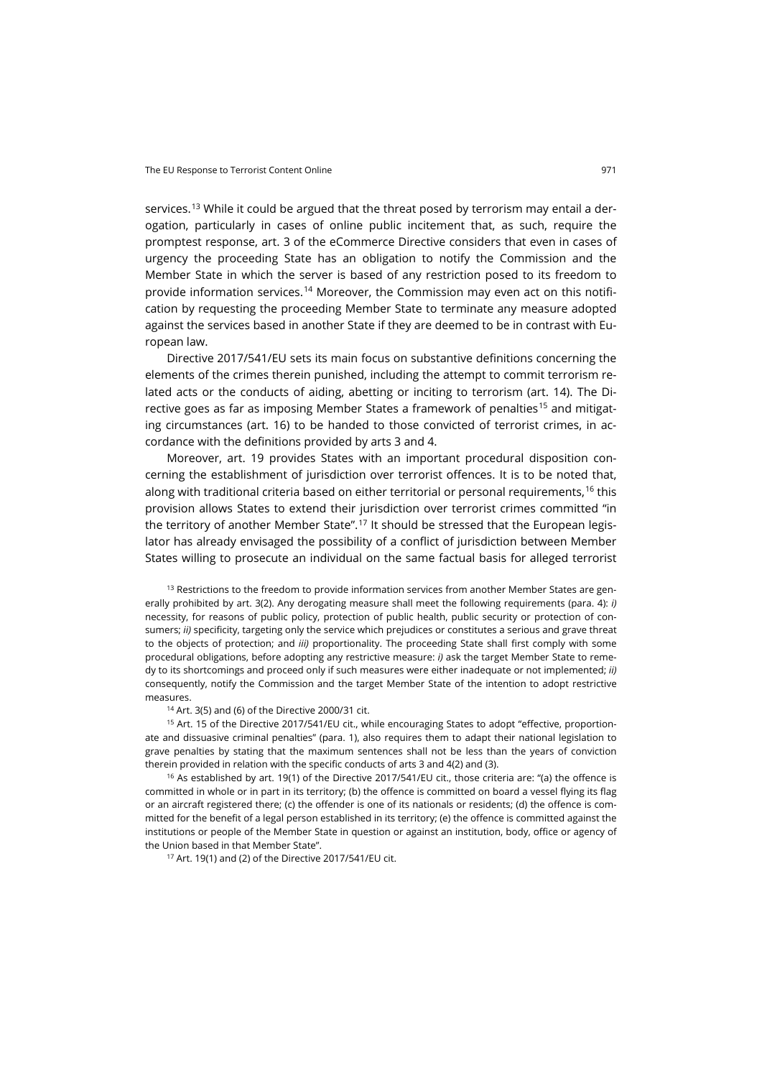services.<sup>[13](#page-4-0)</sup> While it could be argued that the threat posed by terrorism may entail a derogation, particularly in cases of online public incitement that, as such, require the promptest response, art. 3 of the eCommerce Directive considers that even in cases of urgency the proceeding State has an obligation to notify the Commission and the Member State in which the server is based of any restriction posed to its freedom to provide information services.[14](#page-4-1) Moreover, the Commission may even act on this notification by requesting the proceeding Member State to terminate any measure adopted against the services based in another State if they are deemed to be in contrast with European law.

Directive 2017/541/EU sets its main focus on substantive definitions concerning the elements of the crimes therein punished, including the attempt to commit terrorism related acts or the conducts of aiding, abetting or inciting to terrorism (art. 14). The Di-rective goes as far as imposing Member States a framework of penalties<sup>[15](#page-4-2)</sup> and mitigating circumstances (art. 16) to be handed to those convicted of terrorist crimes, in accordance with the definitions provided by arts 3 and 4.

Moreover, art. 19 provides States with an important procedural disposition concerning the establishment of jurisdiction over terrorist offences. It is to be noted that, along with traditional criteria based on either territorial or personal requirements,<sup>[16](#page-4-3)</sup> this provision allows States to extend their jurisdiction over terrorist crimes committed "in the territory of another Member State".<sup>[17](#page-4-4)</sup> It should be stressed that the European legislator has already envisaged the possibility of a conflict of jurisdiction between Member States willing to prosecute an individual on the same factual basis for alleged terrorist

<span id="page-4-0"></span><sup>13</sup> Restrictions to the freedom to provide information services from another Member States are generally prohibited by art. 3(2). Any derogating measure shall meet the following requirements (para. 4): *i)* necessity, for reasons of public policy, protection of public health, public security or protection of consumers; *ii)* specificity, targeting only the service which prejudices or constitutes a serious and grave threat to the objects of protection; and *iii)* proportionality. The proceeding State shall first comply with some procedural obligations, before adopting any restrictive measure: *i)* ask the target Member State to remedy to its shortcomings and proceed only if such measures were either inadequate or not implemented; *ii)* consequently, notify the Commission and the target Member State of the intention to adopt restrictive measures.

<sup>14</sup> Art. 3(5) and (6) of the Directive 2000/31 cit.

<span id="page-4-2"></span><span id="page-4-1"></span><sup>15</sup> Art. 15 of the Directive 2017/541/EU cit., while encouraging States to adopt "effective, proportionate and dissuasive criminal penalties" (para. 1), also requires them to adapt their national legislation to grave penalties by stating that the maximum sentences shall not be less than the years of conviction therein provided in relation with the specific conducts of arts 3 and 4(2) and (3).

<span id="page-4-4"></span><span id="page-4-3"></span><sup>16</sup> As established by art. 19(1) of the Directive 2017/541/EU cit., those criteria are: "(a) the offence is committed in whole or in part in its territory; (b) the offence is committed on board a vessel flying its flag or an aircraft registered there; (c) the offender is one of its nationals or residents; (d) the offence is committed for the benefit of a legal person established in its territory; (e) the offence is committed against the institutions or people of the Member State in question or against an institution, body, office or agency of the Union based in that Member State".

<sup>17</sup> Art. 19(1) and (2) of the Directive 2017/541/EU cit.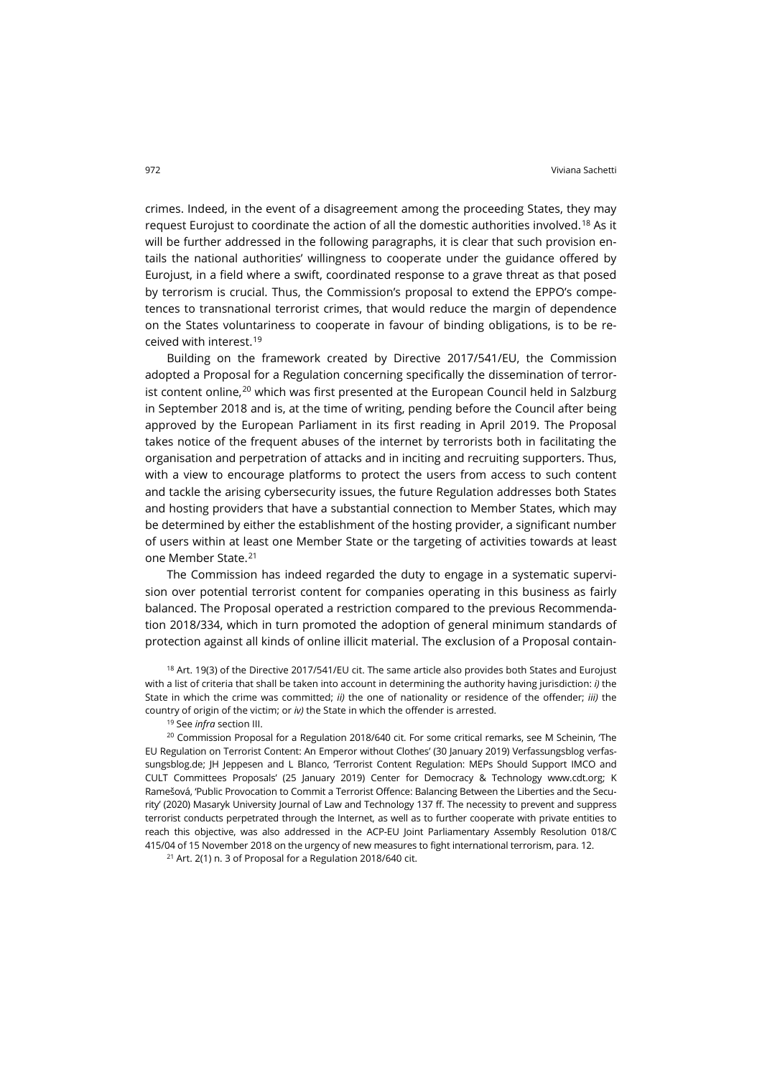crimes. Indeed, in the event of a disagreement among the proceeding States, they may request Eurojust to coordinate the action of all the domestic authorities involved.[18](#page-5-0) As it will be further addressed in the following paragraphs, it is clear that such provision entails the national authorities' willingness to cooperate under the guidance offered by Eurojust, in a field where a swift, coordinated response to a grave threat as that posed by terrorism is crucial. Thus, the Commission's proposal to extend the EPPO's competences to transnational terrorist crimes, that would reduce the margin of dependence on the States voluntariness to cooperate in favour of binding obligations, is to be received with interest.[19](#page-5-1)

Building on the framework created by Directive 2017/541/EU, the Commission adopted a Proposal for a Regulation concerning specifically the dissemination of terror-ist content online,<sup>[20](#page-5-2)</sup> which was first presented at the European Council held in Salzburg in September 2018 and is, at the time of writing, pending before the Council after being approved by the European Parliament in its first reading in April 2019. The Proposal takes notice of the frequent abuses of the internet by terrorists both in facilitating the organisation and perpetration of attacks and in inciting and recruiting supporters. Thus, with a view to encourage platforms to protect the users from access to such content and tackle the arising cybersecurity issues, the future Regulation addresses both States and hosting providers that have a substantial connection to Member States, which may be determined by either the establishment of the hosting provider, a significant number of users within at least one Member State or the targeting of activities towards at least one Member State.[21](#page-5-3)

The Commission has indeed regarded the duty to engage in a systematic supervision over potential terrorist content for companies operating in this business as fairly balanced. The Proposal operated a restriction compared to the previous Recommendation 2018/334, which in turn promoted the adoption of general minimum standards of protection against all kinds of online illicit material. The exclusion of a Proposal contain-

<span id="page-5-0"></span> $18$  Art. 19(3) of the Directive 2017/541/EU cit. The same article also provides both States and Eurojust with a list of criteria that shall be taken into account in determining the authority having jurisdiction: *i)* the State in which the crime was committed; *ii)* the one of nationality or residence of the offender; *iii)* the country of origin of the victim; or *iv)* the State in which the offender is arrested.

<sup>19</sup> See *infra* section III.

<span id="page-5-2"></span><span id="page-5-1"></span><sup>20</sup> Commission Proposal for a Regulation 2018/640 cit. For some critical remarks, see M Scheinin, 'The EU Regulation on Terrorist Content: An Emperor without Clothes' (30 January 2019) Verfassungsblog [verfas](https://verfassungsblog.de/the-eu-regulation-on-terrorist-content-an-emperor-without-clothes/)[sungsblog.de;](https://verfassungsblog.de/the-eu-regulation-on-terrorist-content-an-emperor-without-clothes/) JH Jeppesen and L Blanco, 'Terrorist Content Regulation: MEPs Should Support IMCO and CULT Committees Proposals' (25 January 2019) Center for Democracy & Technology [www.cdt.org;](http://www.cdt.org/) K Ramešová, 'Public Provocation to Commit a Terrorist Offence: Balancing Between the Liberties and the Security' (2020) Masaryk University Journal of Law and Technology 137 ff. The necessity to prevent and suppress terrorist conducts perpetrated through the Internet, as well as to further cooperate with private entities to reach this objective, was also addressed in the ACP-EU Joint Parliamentary Assembly Resolution 018/C 415/04 of 15 November 2018 on the urgency of new measures to fight international terrorism, para. 12.

<span id="page-5-3"></span> $21$  Art. 2(1) n. 3 of Proposal for a Regulation 2018/640 cit.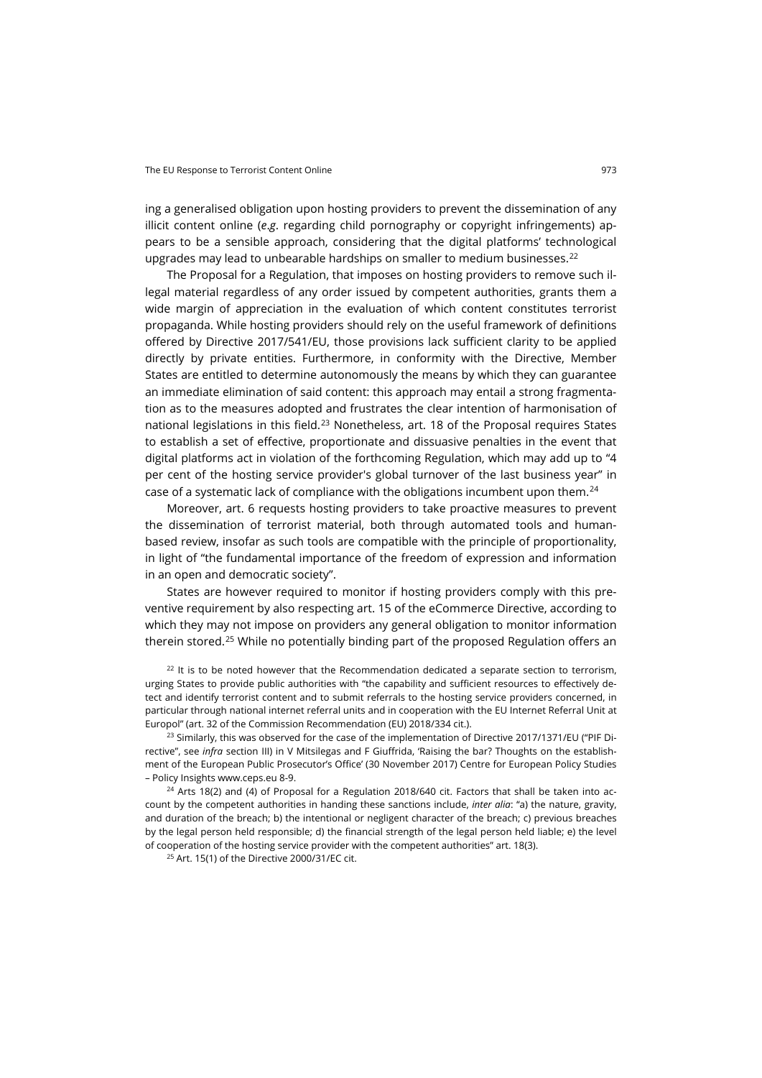ing a generalised obligation upon hosting providers to prevent the dissemination of any illicit content online (*e*.*g*. regarding child pornography or copyright infringements) appears to be a sensible approach, considering that the digital platforms' technological upgrades may lead to unbearable hardships on smaller to medium businesses.<sup>[22](#page-6-0)</sup>

The Proposal for a Regulation, that imposes on hosting providers to remove such illegal material regardless of any order issued by competent authorities, grants them a wide margin of appreciation in the evaluation of which content constitutes terrorist propaganda. While hosting providers should rely on the useful framework of definitions offered by Directive 2017/541/EU, those provisions lack sufficient clarity to be applied directly by private entities. Furthermore, in conformity with the Directive, Member States are entitled to determine autonomously the means by which they can guarantee an immediate elimination of said content: this approach may entail a strong fragmentation as to the measures adopted and frustrates the clear intention of harmonisation of national legislations in this field.<sup>[23](#page-6-1)</sup> Nonetheless, art. 18 of the Proposal requires States to establish a set of effective, proportionate and dissuasive penalties in the event that digital platforms act in violation of the forthcoming Regulation, which may add up to "4 per cent of the hosting service provider's global turnover of the last business year" in case of a systematic lack of compliance with the obligations incumbent upon them.<sup>[24](#page-6-2)</sup>

Moreover, art. 6 requests hosting providers to take proactive measures to prevent the dissemination of terrorist material, both through automated tools and humanbased review, insofar as such tools are compatible with the principle of proportionality, in light of "the fundamental importance of the freedom of expression and information in an open and democratic society".

States are however required to monitor if hosting providers comply with this preventive requirement by also respecting art. 15 of the eCommerce Directive, according to which they may not impose on providers any general obligation to monitor information therein stored.<sup>[25](#page-6-3)</sup> While no potentially binding part of the proposed Regulation offers an

<span id="page-6-0"></span> $22$  It is to be noted however that the Recommendation dedicated a separate section to terrorism, urging States to provide public authorities with "the capability and sufficient resources to effectively detect and identify terrorist content and to submit referrals to the hosting service providers concerned, in particular through national internet referral units and in cooperation with the EU Internet Referral Unit at Europol" (art. 32 of the Commission Recommendation (EU) 2018/334 cit.).

<span id="page-6-1"></span><sup>23</sup> Similarly, this was observed for the case of the implementation of Directive 2017/1371/EU ("PIF Directive", see *infra* section III) in V Mitsilegas and F Giuffrida, 'Raising the bar? Thoughts on the establishment of the European Public Prosecutor's Office' (30 November 2017) Centre for European Policy Studies – Policy Insights [www.ceps.eu](https://www.ceps.eu/ceps-publications/raising-bar-thoughts-establishment-european-public-prosecutors-office/) 8-9.

<span id="page-6-3"></span><span id="page-6-2"></span> $24$  Arts 18(2) and (4) of Proposal for a Regulation 2018/640 cit. Factors that shall be taken into account by the competent authorities in handing these sanctions include, *inter alia*: "a) the nature, gravity, and duration of the breach; b) the intentional or negligent character of the breach; c) previous breaches by the legal person held responsible; d) the financial strength of the legal person held liable; e) the level of cooperation of the hosting service provider with the competent authorities" art. 18(3).

<sup>25</sup> Art. 15(1) of the Directive 2000/31/EC cit.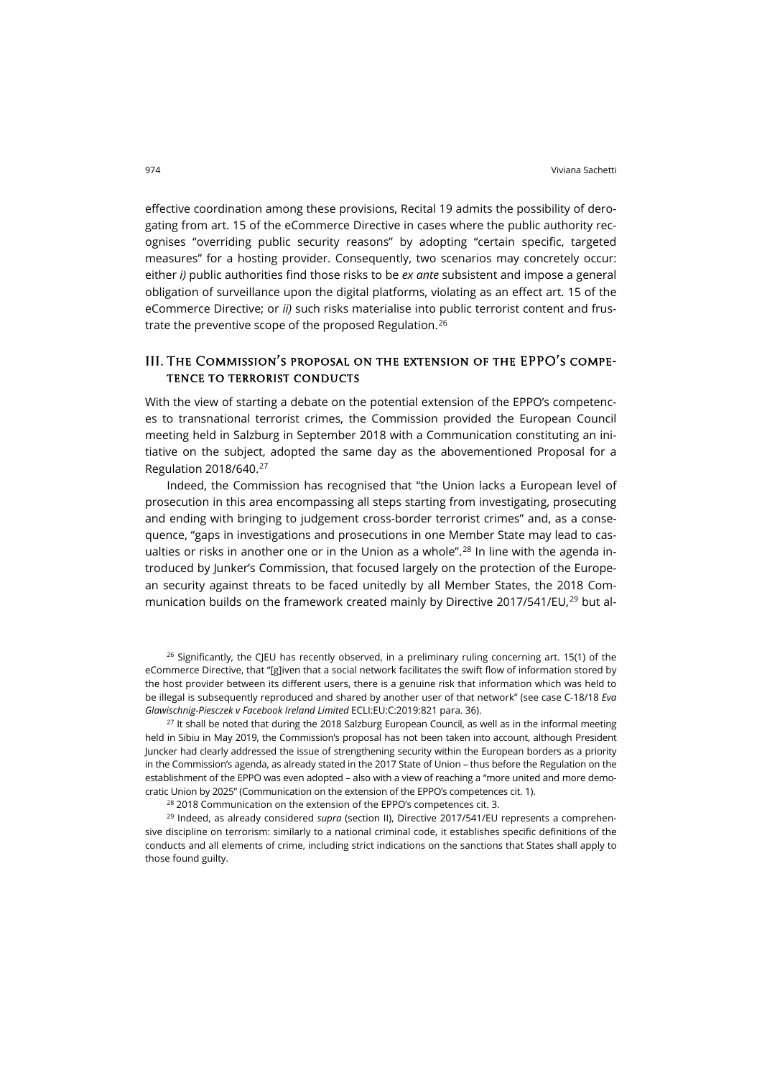effective coordination among these provisions, Recital 19 admits the possibility of derogating from art. 15 of the eCommerce Directive in cases where the public authority recognises "overriding public security reasons" by adopting "certain specific, targeted measures" for a hosting provider. Consequently, two scenarios may concretely occur: either *i)* public authorities find those risks to be *ex ante* subsistent and impose a general obligation of surveillance upon the digital platforms, violating as an effect art. 15 of the eCommerce Directive; or *ii)* such risks materialise into public terrorist content and frus-trate the preventive scope of the proposed Regulation.<sup>[26](#page-7-0)</sup>

### III. The Commission's proposal on the extension of the EPPO's competence to terrorist conducts

With the view of starting a debate on the potential extension of the EPPO's competences to transnational terrorist crimes, the Commission provided the European Council meeting held in Salzburg in September 2018 with a Communication constituting an initiative on the subject, adopted the same day as the abovementioned Proposal for a Regulation 2018/640.[27](#page-7-1)

Indeed, the Commission has recognised that "the Union lacks a European level of prosecution in this area encompassing all steps starting from investigating, prosecuting and ending with bringing to judgement cross-border terrorist crimes" and, as a consequence, "gaps in investigations and prosecutions in one Member State may lead to cas-ualties or risks in another one or in the Union as a whole".<sup>[28](#page-7-2)</sup> In line with the agenda introduced by Junker's Commission, that focused largely on the protection of the European security against threats to be faced unitedly by all Member States, the 2018 Com-munication builds on the framework created mainly by Directive 2017/541/EU,<sup>[29](#page-7-3)</sup> but al-

<span id="page-7-0"></span> $26$  Significantly, the CJEU has recently observed, in a preliminary ruling concerning art. 15(1) of the eCommerce Directive, that "[g]iven that a social network facilitates the swift flow of information stored by the host provider between its different users, there is a genuine risk that information which was held to be illegal is subsequently reproduced and shared by another user of that network" (see case C-18/18 *Eva Glawischnig-Piesczek v Facebook Ireland Limited* ECLI:EU:C:2019:821 para. 36).

<span id="page-7-1"></span> $27$  It shall be noted that during the 2018 Salzburg European Council, as well as in the informal meeting held in Sibiu in May 2019, the Commission's proposal has not been taken into account, although President Juncker had clearly addressed the issue of strengthening security within the European borders as a priority in the Commission's agenda, as already stated in the 2017 State of Union – thus before the Regulation on the establishment of the EPPO was even adopted – also with a view of reaching a "more united and more democratic Union by 2025" (Communication on the extension of the EPPO's competences cit. 1).

<sup>28</sup> 2018 Communication on the extension of the EPPO's competences cit. 3.

<span id="page-7-3"></span><span id="page-7-2"></span><sup>29</sup> Indeed, as already considered *supra* (section II), Directive 2017/541/EU represents a comprehensive discipline on terrorism: similarly to a national criminal code, it establishes specific definitions of the conducts and all elements of crime, including strict indications on the sanctions that States shall apply to those found guilty.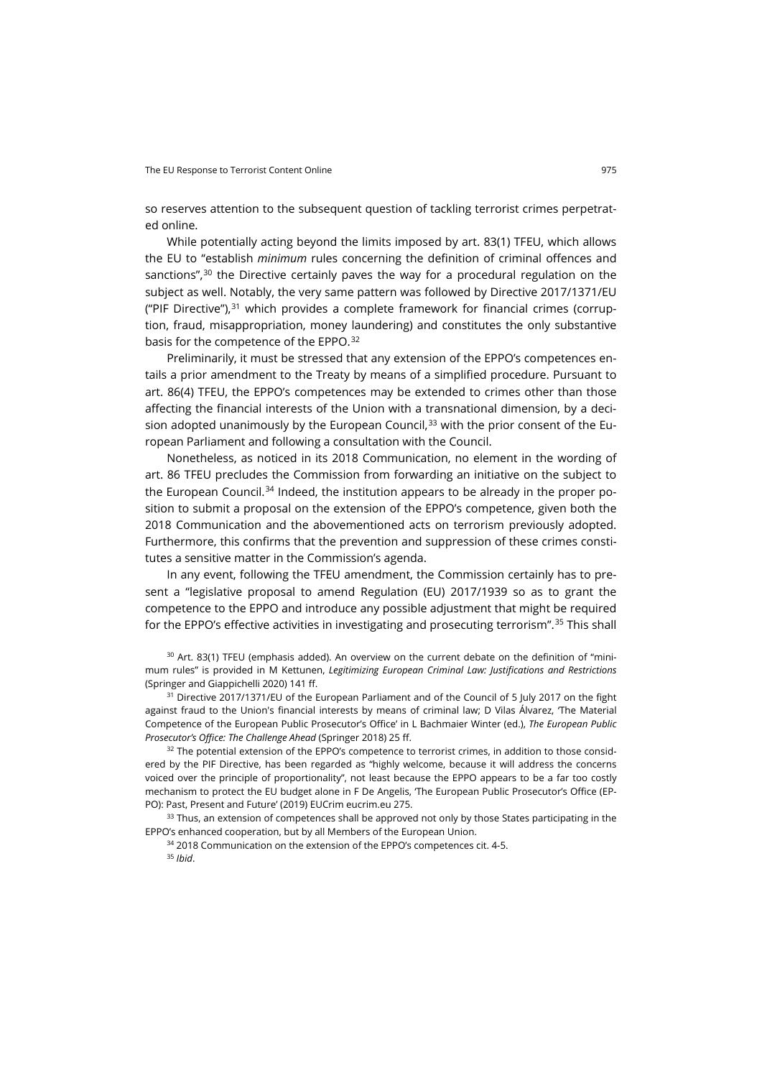so reserves attention to the subsequent question of tackling terrorist crimes perpetrated online.

While potentially acting beyond the limits imposed by art. 83(1) TFEU, which allows the EU to "establish *minimum* rules concerning the definition of criminal offences and sanctions",[30](#page-8-0) the Directive certainly paves the way for a procedural regulation on the subject as well. Notably, the very same pattern was followed by Directive 2017/1371/EU ("PIF Directive"), $31$  which provides a complete framework for financial crimes (corruption, fraud, misappropriation, money laundering) and constitutes the only substantive basis for the competence of the EPPO.[32](#page-8-2)

Preliminarily, it must be stressed that any extension of the EPPO's competences entails a prior amendment to the Treaty by means of a simplified procedure. Pursuant to art. 86(4) TFEU, the EPPO's competences may be extended to crimes other than those affecting the financial interests of the Union with a transnational dimension, by a decision adopted unanimously by the European Council, $33$  with the prior consent of the European Parliament and following a consultation with the Council.

Nonetheless, as noticed in its 2018 Communication, no element in the wording of art. 86 TFEU precludes the Commission from forwarding an initiative on the subject to the European Council.<sup>[34](#page-8-4)</sup> Indeed, the institution appears to be already in the proper position to submit a proposal on the extension of the EPPO's competence, given both the 2018 Communication and the abovementioned acts on terrorism previously adopted. Furthermore, this confirms that the prevention and suppression of these crimes constitutes a sensitive matter in the Commission's agenda.

In any event, following the TFEU amendment, the Commission certainly has to present a "legislative proposal to amend Regulation (EU) 2017/1939 so as to grant the competence to the EPPO and introduce any possible adjustment that might be required for the EPPO's effective activities in investigating and prosecuting terrorism".[35](#page-8-5) This shall

<span id="page-8-0"></span><sup>30</sup> Art. 83(1) TFEU (emphasis added). An overview on the current debate on the definition of "minimum rules" is provided in M Kettunen, *Legitimizing European Criminal Law: Justifications and Restrictions* (Springer and Giappichelli 2020) 141 ff.

<span id="page-8-1"></span><sup>31</sup> Directive 2017/1371/EU of the European Parliament and of the Council of 5 July 2017 on the fight against fraud to the Union's financial interests by means of criminal law; D Vilas Álvarez, 'The Material Competence of the European Public Prosecutor's Office' in L Bachmaier Winter (ed.), *The European Public Prosecutor's Office: The Challenge Ahead* (Springer 2018) 25 ff.

<span id="page-8-2"></span><sup>32</sup> The potential extension of the EPPO's competence to terrorist crimes, in addition to those considered by the PIF Directive, has been regarded as "highly welcome, because it will address the concerns voiced over the principle of proportionality", not least because the EPPO appears to be a far too costly mechanism to protect the EU budget alone in F De Angelis, 'The European Public Prosecutor's Office (EP-PO): Past, Present and Future' (2019) EUCrim [eucrim.eu](https://eucrim.eu/articles/the-eppo-past-present-and-future/) 275.

<span id="page-8-5"></span><span id="page-8-4"></span><span id="page-8-3"></span><sup>33</sup> Thus, an extension of competences shall be approved not only by those States participating in the EPPO's enhanced cooperation, but by all Members of the European Union.

<sup>34</sup> 2018 Communication on the extension of the EPPO's competences cit. 4-5.

<sup>35</sup> *Ibid*.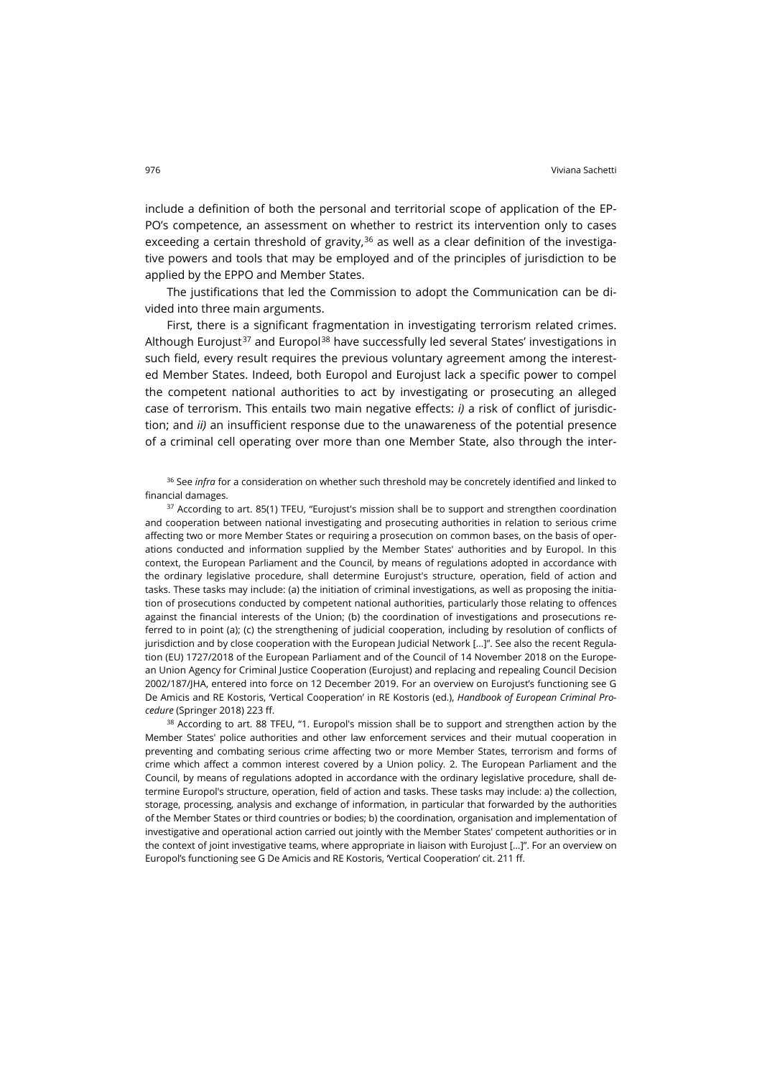include a definition of both the personal and territorial scope of application of the EP-PO's competence, an assessment on whether to restrict its intervention only to cases exceeding a certain threshold of gravity, $36$  as well as a clear definition of the investigative powers and tools that may be employed and of the principles of jurisdiction to be applied by the EPPO and Member States.

The justifications that led the Commission to adopt the Communication can be divided into three main arguments.

First, there is a significant fragmentation in investigating terrorism related crimes. Although Eurojust<sup>[37](#page-9-1)</sup> and Europol<sup>[38](#page-9-2)</sup> have successfully led several States' investigations in such field, every result requires the previous voluntary agreement among the interested Member States. Indeed, both Europol and Eurojust lack a specific power to compel the competent national authorities to act by investigating or prosecuting an alleged case of terrorism. This entails two main negative effects: *i)* a risk of conflict of jurisdiction; and *ii)* an insufficient response due to the unawareness of the potential presence of a criminal cell operating over more than one Member State, also through the inter-

<span id="page-9-0"></span><sup>36</sup> See *infra* for a consideration on whether such threshold may be concretely identified and linked to financial damages.

<span id="page-9-1"></span><sup>37</sup> According to art. 85(1) TFEU, "Eurojust's mission shall be to support and strengthen coordination and cooperation between national investigating and prosecuting authorities in relation to serious crime affecting two or more Member States or requiring a prosecution on common bases, on the basis of operations conducted and information supplied by the Member States' authorities and by Europol. In this context, the European Parliament and the Council, by means of regulations adopted in accordance with the ordinary legislative procedure, shall determine Eurojust's structure, operation, field of action and tasks. These tasks may include: (a) the initiation of criminal investigations, as well as proposing the initiation of prosecutions conducted by competent national authorities, particularly those relating to offences against the financial interests of the Union; (b) the coordination of investigations and prosecutions referred to in point (a); (c) the strengthening of judicial cooperation, including by resolution of conflicts of jurisdiction and by close cooperation with the European Judicial Network […]". See also the recent Regulation (EU) 1727/2018 of the European Parliament and of the Council of 14 November 2018 on the European Union Agency for Criminal Justice Cooperation (Eurojust) and replacing and repealing Council Decision 2002/187/JHA, entered into force on 12 December 2019. For an overview on Eurojust's functioning see G De Amicis and RE Kostoris, 'Vertical Cooperation' in RE Kostoris (ed.), *Handbook of European Criminal Procedure* (Springer 2018) 223 ff.

<span id="page-9-2"></span> $38$  According to art. 88 TFEU, "1. Europol's mission shall be to support and strengthen action by the Member States' police authorities and other law enforcement services and their mutual cooperation in preventing and combating serious crime affecting two or more Member States, terrorism and forms of crime which affect a common interest covered by a Union policy. 2. The European Parliament and the Council, by means of regulations adopted in accordance with the ordinary legislative procedure, shall determine Europol's structure, operation, field of action and tasks. These tasks may include: a) the collection, storage, processing, analysis and exchange of information, in particular that forwarded by the authorities of the Member States or third countries or bodies; b) the coordination, organisation and implementation of investigative and operational action carried out jointly with the Member States' competent authorities or in the context of joint investigative teams, where appropriate in liaison with Eurojust […]". For an overview on Europol's functioning see G De Amicis and RE Kostoris, 'Vertical Cooperation' cit. 211 ff.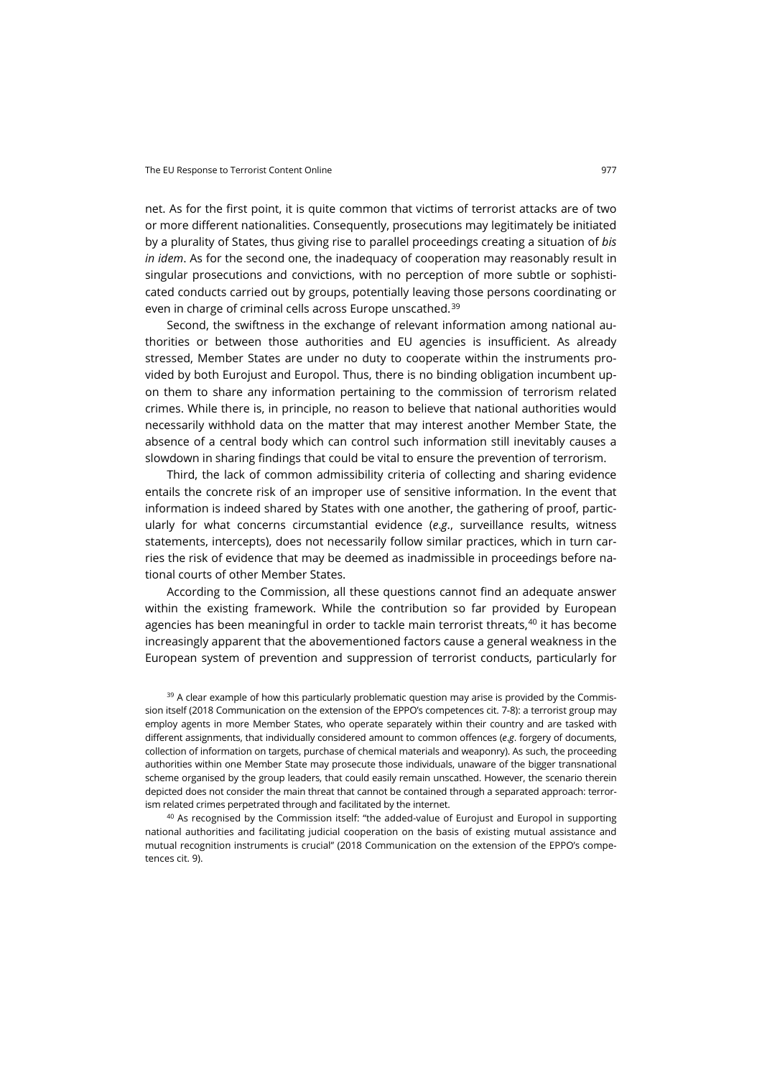net. As for the first point, it is quite common that victims of terrorist attacks are of two or more different nationalities. Consequently, prosecutions may legitimately be initiated by a plurality of States, thus giving rise to parallel proceedings creating a situation of *bis in idem*. As for the second one, the inadequacy of cooperation may reasonably result in singular prosecutions and convictions, with no perception of more subtle or sophisticated conducts carried out by groups, potentially leaving those persons coordinating or even in charge of criminal cells across Europe unscathed.<sup>[39](#page-10-0)</sup>

Second, the swiftness in the exchange of relevant information among national authorities or between those authorities and EU agencies is insufficient. As already stressed, Member States are under no duty to cooperate within the instruments provided by both Eurojust and Europol. Thus, there is no binding obligation incumbent upon them to share any information pertaining to the commission of terrorism related crimes. While there is, in principle, no reason to believe that national authorities would necessarily withhold data on the matter that may interest another Member State, the absence of a central body which can control such information still inevitably causes a slowdown in sharing findings that could be vital to ensure the prevention of terrorism.

Third, the lack of common admissibility criteria of collecting and sharing evidence entails the concrete risk of an improper use of sensitive information. In the event that information is indeed shared by States with one another, the gathering of proof, particularly for what concerns circumstantial evidence (*e*.*g*., surveillance results, witness statements, intercepts), does not necessarily follow similar practices, which in turn carries the risk of evidence that may be deemed as inadmissible in proceedings before national courts of other Member States.

According to the Commission, all these questions cannot find an adequate answer within the existing framework. While the contribution so far provided by European agencies has been meaningful in order to tackle main terrorist threats,<sup>[40](#page-10-1)</sup> it has become increasingly apparent that the abovementioned factors cause a general weakness in the European system of prevention and suppression of terrorist conducts, particularly for

<span id="page-10-0"></span><sup>39</sup> A clear example of how this particularly problematic question may arise is provided by the Commission itself (2018 Communication on the extension of the EPPO's competences cit. 7-8): a terrorist group may employ agents in more Member States, who operate separately within their country and are tasked with different assignments, that individually considered amount to common offences (*e*.*g*. forgery of documents, collection of information on targets, purchase of chemical materials and weaponry). As such, the proceeding authorities within one Member State may prosecute those individuals, unaware of the bigger transnational scheme organised by the group leaders, that could easily remain unscathed. However, the scenario therein depicted does not consider the main threat that cannot be contained through a separated approach: terrorism related crimes perpetrated through and facilitated by the internet.

<span id="page-10-1"></span><sup>40</sup> As recognised by the Commission itself: "the added-value of Eurojust and Europol in supporting national authorities and facilitating judicial cooperation on the basis of existing mutual assistance and mutual recognition instruments is crucial" (2018 Communication on the extension of the EPPO's competences cit. 9).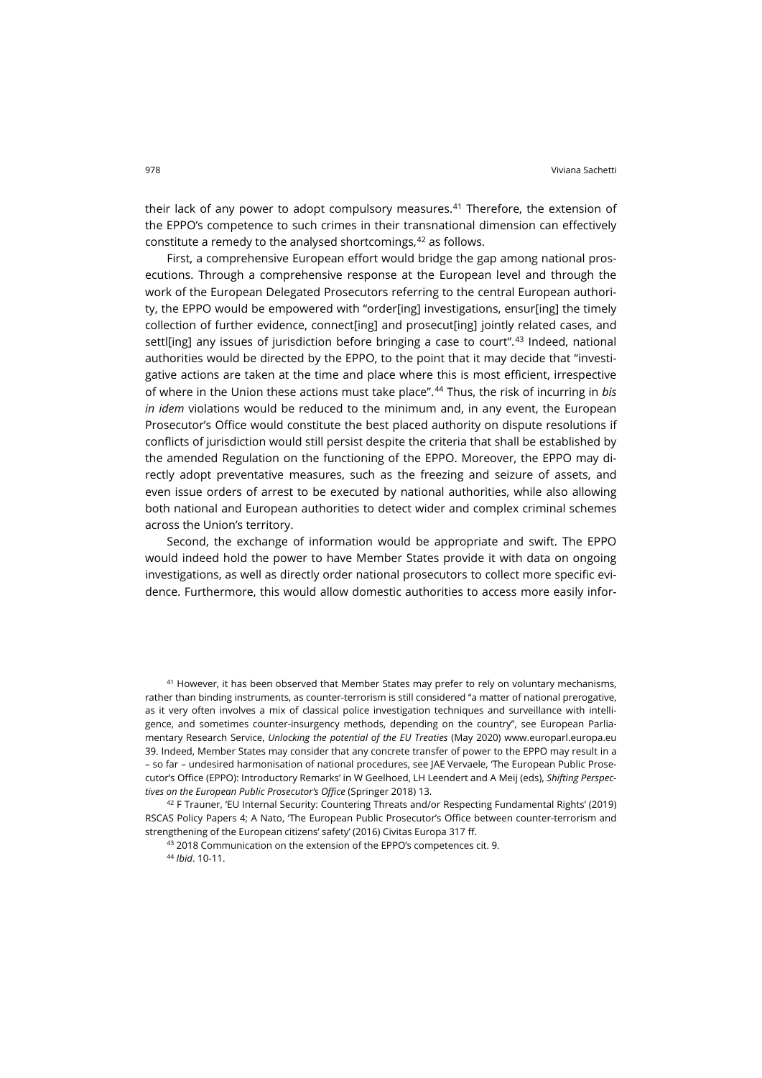their lack of any power to adopt compulsory measures. $41$  Therefore, the extension of the EPPO's competence to such crimes in their transnational dimension can effectively constitute a remedy to the analysed shortcomings, <sup>[42](#page-11-1)</sup> as follows.

First, a comprehensive European effort would bridge the gap among national prosecutions. Through a comprehensive response at the European level and through the work of the European Delegated Prosecutors referring to the central European authority, the EPPO would be empowered with "order[ing] investigations, ensur[ing] the timely collection of further evidence, connect[ing] and prosecut[ing] jointly related cases, and settl[ing] any issues of jurisdiction before bringing a case to court".[43](#page-11-2) Indeed, national authorities would be directed by the EPPO, to the point that it may decide that "investigative actions are taken at the time and place where this is most efficient, irrespective of where in the Union these actions must take place".[44](#page-11-3) Thus, the risk of incurring in *bis in idem* violations would be reduced to the minimum and, in any event, the European Prosecutor's Office would constitute the best placed authority on dispute resolutions if conflicts of jurisdiction would still persist despite the criteria that shall be established by the amended Regulation on the functioning of the EPPO. Moreover, the EPPO may directly adopt preventative measures, such as the freezing and seizure of assets, and even issue orders of arrest to be executed by national authorities, while also allowing both national and European authorities to detect wider and complex criminal schemes across the Union's territory.

Second, the exchange of information would be appropriate and swift. The EPPO would indeed hold the power to have Member States provide it with data on ongoing investigations, as well as directly order national prosecutors to collect more specific evidence. Furthermore, this would allow domestic authorities to access more easily infor-

<span id="page-11-0"></span><sup>41</sup> However, it has been observed that Member States may prefer to rely on voluntary mechanisms, rather than binding instruments, as counter-terrorism is still considered "a matter of national prerogative, as it very often involves a mix of classical police investigation techniques and surveillance with intelligence, and sometimes counter-insurgency methods, depending on the country", see European Parliamentary Research Service, *Unlocking the potential of the EU Treaties* (May 2020) [www.europarl.europa.eu](https://www.europarl.europa.eu/RegData/etudes/STUD/2020/651934/EPRS_STU(2020)651934_EN.pdf) 39. Indeed, Member States may consider that any concrete transfer of power to the EPPO may result in a – so far – undesired harmonisation of national procedures, see JAE Vervaele, 'The European Public Prosecutor's Office (EPPO): Introductory Remarks' in W Geelhoed, LH Leendert and A Meij (eds), *Shifting Perspectives on the European Public Prosecutor's Office* (Springer 2018) 13.

<span id="page-11-3"></span><span id="page-11-2"></span><span id="page-11-1"></span> $42$  F Trauner, 'EU Internal Security: Countering Threats and/or Respecting Fundamental Rights' (2019) RSCAS Policy Papers 4; A Nato, 'The European Public Prosecutor's Office between counter-terrorism and strengthening of the European citizens' safety' (2016) Civitas Europa 317 ff.

43 2018 Communication on the extension of the EPPO's competences cit. 9.

<sup>44</sup> *Ibid*. 10-11.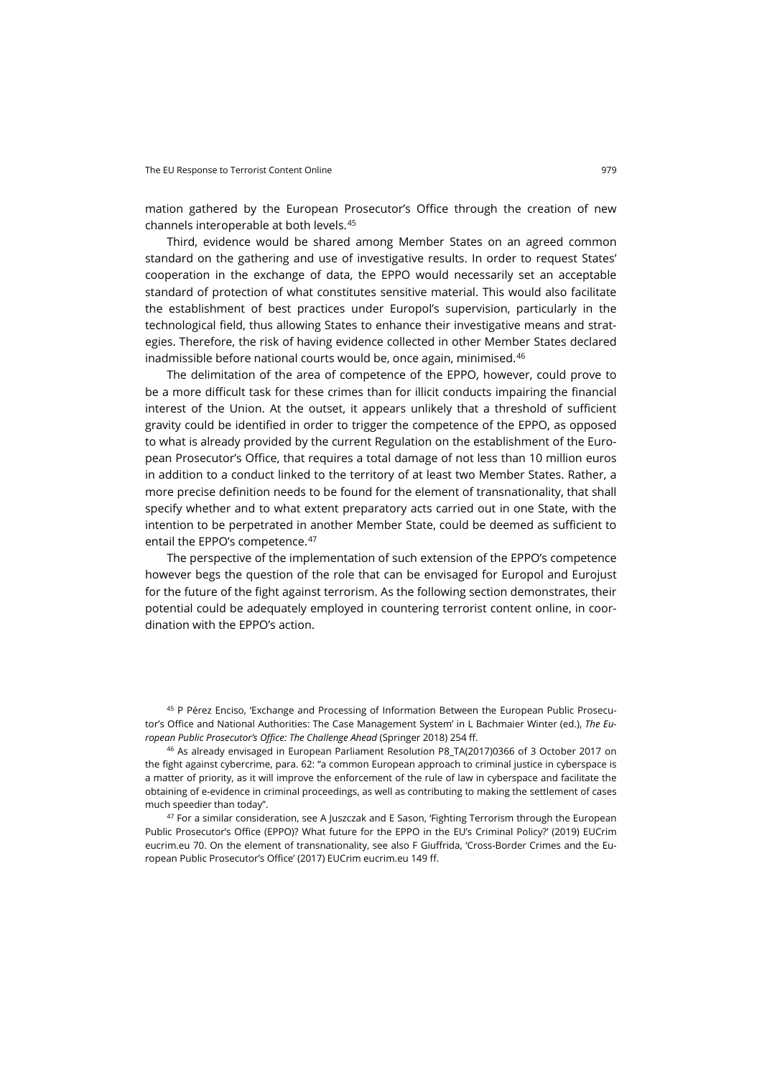mation gathered by the European Prosecutor's Office through the creation of new channels interoperable at both levels.[45](#page-12-0)

Third, evidence would be shared among Member States on an agreed common standard on the gathering and use of investigative results. In order to request States' cooperation in the exchange of data, the EPPO would necessarily set an acceptable standard of protection of what constitutes sensitive material. This would also facilitate the establishment of best practices under Europol's supervision, particularly in the technological field, thus allowing States to enhance their investigative means and strategies. Therefore, the risk of having evidence collected in other Member States declared inadmissible before national courts would be, once again, minimised.<sup>[46](#page-12-1)</sup>

The delimitation of the area of competence of the EPPO, however, could prove to be a more difficult task for these crimes than for illicit conducts impairing the financial interest of the Union. At the outset, it appears unlikely that a threshold of sufficient gravity could be identified in order to trigger the competence of the EPPO, as opposed to what is already provided by the current Regulation on the establishment of the European Prosecutor's Office, that requires a total damage of not less than 10 million euros in addition to a conduct linked to the territory of at least two Member States. Rather, a more precise definition needs to be found for the element of transnationality, that shall specify whether and to what extent preparatory acts carried out in one State, with the intention to be perpetrated in another Member State, could be deemed as sufficient to entail the EPPO's competence.<sup>[47](#page-12-2)</sup>

The perspective of the implementation of such extension of the EPPO's competence however begs the question of the role that can be envisaged for Europol and Eurojust for the future of the fight against terrorism. As the following section demonstrates, their potential could be adequately employed in countering terrorist content online, in coordination with the EPPO's action.

<span id="page-12-0"></span><sup>45</sup> P Pérez Enciso, 'Exchange and Processing of Information Between the European Public Prosecutor's Office and National Authorities: The Case Management System' in L Bachmaier Winter (ed.), *The European Public Prosecutor's Office: The Challenge Ahead* (Springer 2018) 254 ff.

<span id="page-12-1"></span><sup>46</sup> As already envisaged in European Parliament Resolution P8\_TA(2017)0366 of 3 October 2017 on the fight against cybercrime, para. 62: "a common European approach to criminal justice in cyberspace is a matter of priority, as it will improve the enforcement of the rule of law in cyberspace and facilitate the obtaining of e-evidence in criminal proceedings, as well as contributing to making the settlement of cases much speedier than today".

<span id="page-12-2"></span><sup>47</sup> For a similar consideration, see A Juszczak and E Sason, 'Fighting Terrorism through the European Public Prosecutor's Office (EPPO)? What future for the EPPO in the EU's Criminal Policy?' (2019) EUCrim [eucrim.eu](https://eucrim.eu/media/issue/pdf/eucrim_issue_2019-01.pdf#page=66) 70. On the element of transnationality, see also F Giuffrida, 'Cross-Border Crimes and the European Public Prosecutor's Office' (2017) EUCrim [eucrim.eu](https://eucrim.eu/media/issue/pdf/eucrim_issue_2017-03.pdf#page=59) 149 ff.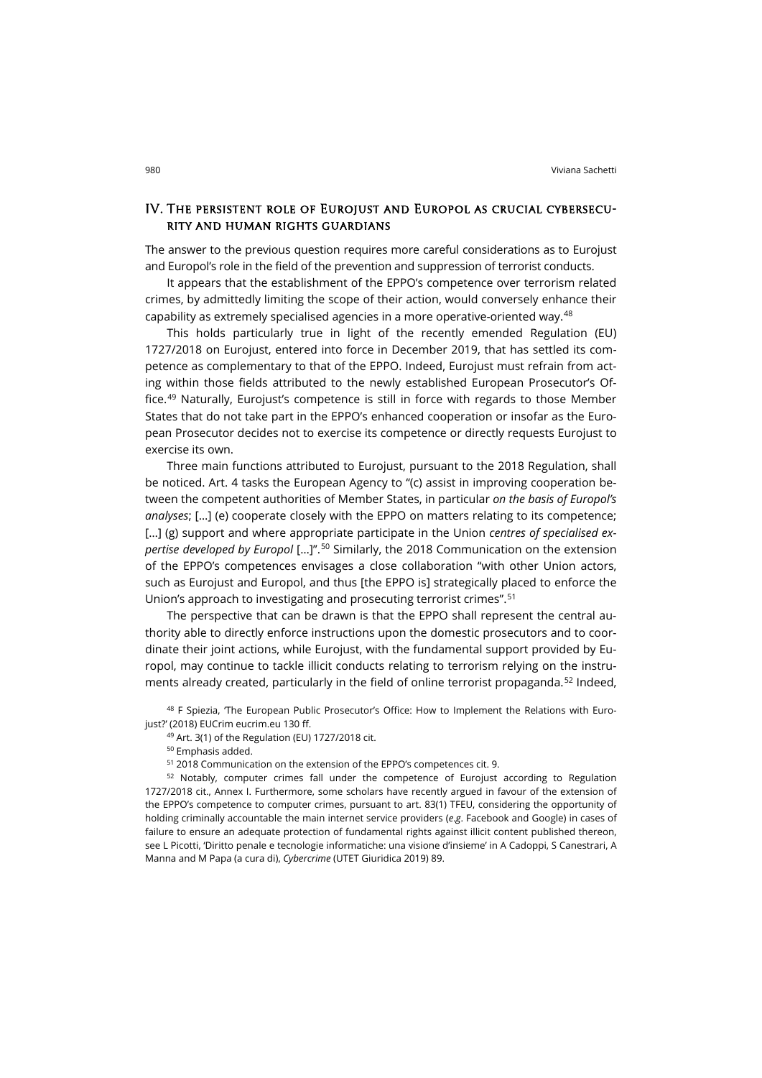### IV. The persistent role of Eurojust and Europol as crucial cybersecurity and human rights guardians

The answer to the previous question requires more careful considerations as to Eurojust and Europol's role in the field of the prevention and suppression of terrorist conducts.

It appears that the establishment of the EPPO's competence over terrorism related crimes, by admittedly limiting the scope of their action, would conversely enhance their capability as extremely specialised agencies in a more operative-oriented way.[48](#page-13-0)

This holds particularly true in light of the recently emended Regulation (EU) 1727/2018 on Eurojust, entered into force in December 2019, that has settled its competence as complementary to that of the EPPO. Indeed, Eurojust must refrain from acting within those fields attributed to the newly established European Prosecutor's Office.[49](#page-13-1) Naturally, Eurojust's competence is still in force with regards to those Member States that do not take part in the EPPO's enhanced cooperation or insofar as the European Prosecutor decides not to exercise its competence or directly requests Eurojust to exercise its own.

Three main functions attributed to Eurojust, pursuant to the 2018 Regulation, shall be noticed. Art. 4 tasks the European Agency to "(c) assist in improving cooperation between the competent authorities of Member States, in particular *on the basis of Europol's analyses*; […] (e) cooperate closely with the EPPO on matters relating to its competence; […] (g) support and where appropriate participate in the Union *centres of specialised expertise developed by Europol* […]".[50](#page-13-2) Similarly, the 2018 Communication on the extension of the EPPO's competences envisages a close collaboration "with other Union actors, such as Eurojust and Europol, and thus [the EPPO is] strategically placed to enforce the Union's approach to investigating and prosecuting terrorist crimes".[51](#page-13-3)

The perspective that can be drawn is that the EPPO shall represent the central authority able to directly enforce instructions upon the domestic prosecutors and to coordinate their joint actions, while Eurojust, with the fundamental support provided by Europol, may continue to tackle illicit conducts relating to terrorism relying on the instru-ments already created, particularly in the field of online terrorist propaganda.<sup>[52](#page-13-4)</sup> Indeed,

<span id="page-13-1"></span><span id="page-13-0"></span>48 F Spiezia, 'The European Public Prosecutor's Office: How to Implement the Relations with Eurojust?' (2018) EUCrim [eucrim.eu](https://eucrim.eu/media/issue/pdf/eucrim_issue_2018-02.pdf#page=56) 130 ff.

<sup>49</sup> Art. 3(1) of the Regulation (EU) 1727/2018 cit.

<sup>50</sup> Emphasis added.

<sup>51</sup> 2018 Communication on the extension of the EPPO's competences cit. 9.

<span id="page-13-4"></span><span id="page-13-3"></span><span id="page-13-2"></span><sup>52</sup> Notably, computer crimes fall under the competence of Eurojust according to Regulation 1727/2018 cit., Annex I. Furthermore, some scholars have recently argued in favour of the extension of the EPPO's competence to computer crimes, pursuant to art. 83(1) TFEU, considering the opportunity of holding criminally accountable the main internet service providers (*e*.*g*. Facebook and Google) in cases of failure to ensure an adequate protection of fundamental rights against illicit content published thereon, see L Picotti, 'Diritto penale e tecnologie informatiche: una visione d'insieme' in A Cadoppi, S Canestrari, A Manna and M Papa (a cura di), *Cybercrime* (UTET Giuridica 2019) 89.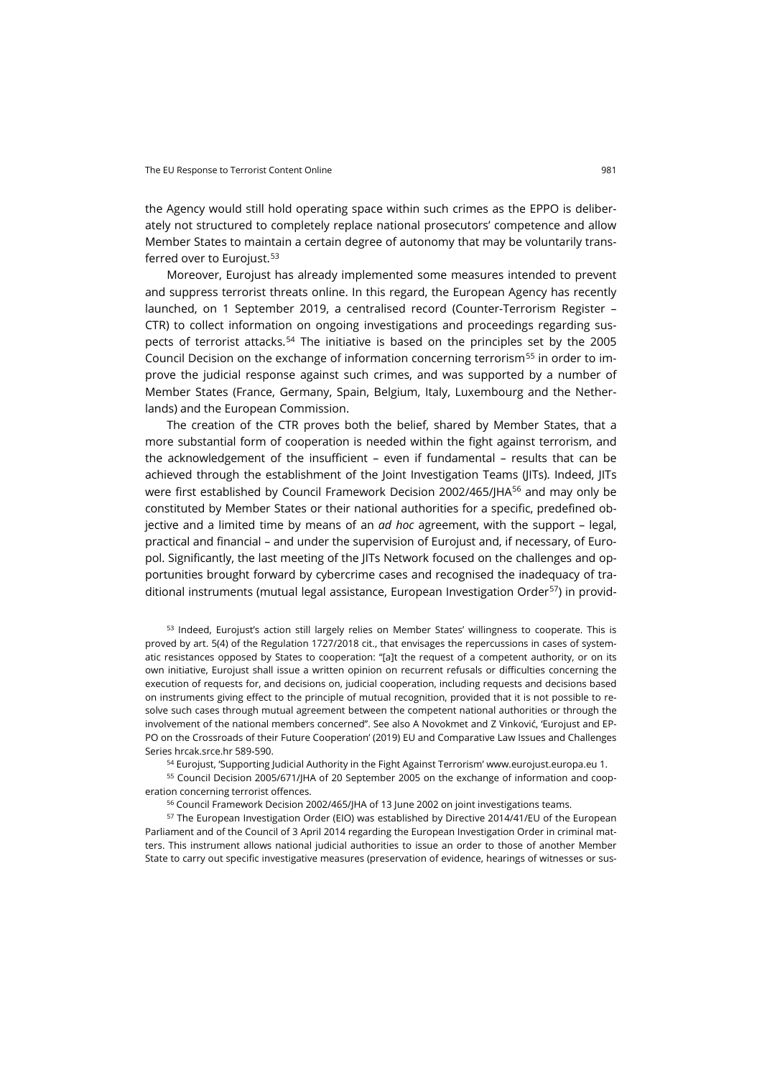the Agency would still hold operating space within such crimes as the EPPO is deliberately not structured to completely replace national prosecutors' competence and allow Member States to maintain a certain degree of autonomy that may be voluntarily trans-ferred over to Eurojust.<sup>[53](#page-14-0)</sup>

Moreover, Eurojust has already implemented some measures intended to prevent and suppress terrorist threats online. In this regard, the European Agency has recently launched, on 1 September 2019, a centralised record (Counter-Terrorism Register – CTR) to collect information on ongoing investigations and proceedings regarding suspects of terrorist attacks.[54](#page-14-1) The initiative is based on the principles set by the 2005 Council Decision on the exchange of information concerning terrorism<sup>[55](#page-14-2)</sup> in order to improve the judicial response against such crimes, and was supported by a number of Member States (France, Germany, Spain, Belgium, Italy, Luxembourg and the Netherlands) and the European Commission.

The creation of the CTR proves both the belief, shared by Member States, that a more substantial form of cooperation is needed within the fight against terrorism, and the acknowledgement of the insufficient – even if fundamental – results that can be achieved through the establishment of the Joint Investigation Teams (IITs), Indeed, IITs were first established by Council Framework Decision 2002/465/JHA<sup>[56](#page-14-3)</sup> and may only be constituted by Member States or their national authorities for a specific, predefined objective and a limited time by means of an *ad hoc* agreement, with the support – legal, practical and financial – and under the supervision of Eurojust and, if necessary, of Europol. Significantly, the last meeting of the JITs Network focused on the challenges and opportunities brought forward by cybercrime cases and recognised the inadequacy of traditional instruments (mutual legal assistance, European Investigation Order[57\)](#page-14-4) in provid-

<span id="page-14-0"></span>53 Indeed, Eurojust's action still largely relies on Member States' willingness to cooperate. This is proved by art. 5(4) of the Regulation 1727/2018 cit., that envisages the repercussions in cases of systematic resistances opposed by States to cooperation: "[a]t the request of a competent authority, or on its own initiative, Eurojust shall issue a written opinion on recurrent refusals or difficulties concerning the execution of requests for, and decisions on, judicial cooperation, including requests and decisions based on instruments giving effect to the principle of mutual recognition, provided that it is not possible to resolve such cases through mutual agreement between the competent national authorities or through the involvement of the national members concerned". See also A Novokmet and Z Vinković, 'Eurojust and EP-PO on the Crossroads of their Future Cooperation' (2019) EU and Comparative Law Issues and Challenges Series [hrcak.srce.hr](https://hrcak.srce.hr/ojs/index.php/eclic/article/view/9018/5105) 589-590.

<sup>54</sup> Eurojust, 'Supporting Judicial Authority in the Fight Against Terrorism' [www.eurojust.europa.eu](https://www.eurojust.europa.eu/supporting-judicial-authorities-fight-against-terrorism) 1.

<span id="page-14-2"></span><span id="page-14-1"></span><sup>55</sup> Council Decision 2005/671/JHA of 20 September 2005 on the exchange of information and cooperation concerning terrorist offences.

<sup>56</sup> Council Framework Decision 2002/465/JHA of 13 June 2002 on joint investigations teams.

<span id="page-14-4"></span><span id="page-14-3"></span><sup>57</sup> The European Investigation Order (EIO) was established by Directive 2014/41/EU of the European Parliament and of the Council of 3 April 2014 regarding the European Investigation Order in criminal matters. This instrument allows national judicial authorities to issue an order to those of another Member State to carry out specific investigative measures (preservation of evidence, hearings of witnesses or sus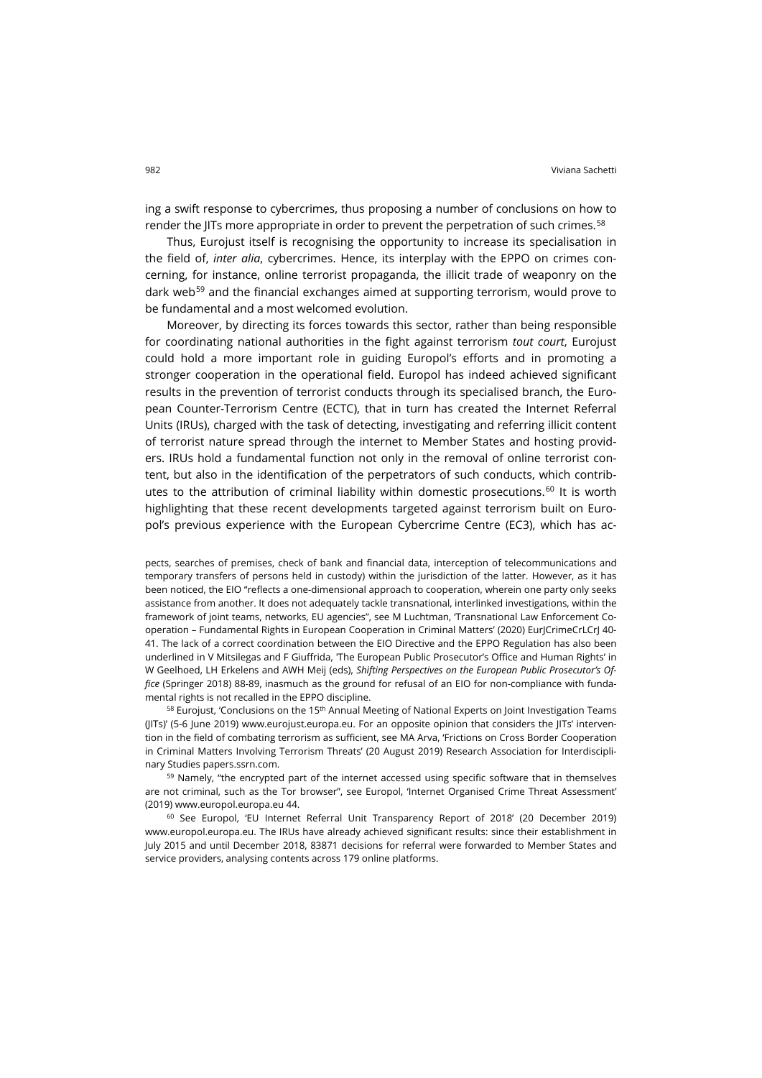ing a swift response to cybercrimes, thus proposing a number of conclusions on how to render the IITs more appropriate in order to prevent the perpetration of such crimes.<sup>[58](#page-15-0)</sup>

Thus, Eurojust itself is recognising the opportunity to increase its specialisation in the field of, *inter alia*, cybercrimes. Hence, its interplay with the EPPO on crimes concerning, for instance, online terrorist propaganda, the illicit trade of weaponry on the dark web<sup>[59](#page-15-1)</sup> and the financial exchanges aimed at supporting terrorism, would prove to be fundamental and a most welcomed evolution.

Moreover, by directing its forces towards this sector, rather than being responsible for coordinating national authorities in the fight against terrorism *tout court*, Eurojust could hold a more important role in guiding Europol's efforts and in promoting a stronger cooperation in the operational field. Europol has indeed achieved significant results in the prevention of terrorist conducts through its specialised branch, the European Counter-Terrorism Centre (ECTC), that in turn has created the Internet Referral Units (IRUs), charged with the task of detecting, investigating and referring illicit content of terrorist nature spread through the internet to Member States and hosting providers. IRUs hold a fundamental function not only in the removal of online terrorist content, but also in the identification of the perpetrators of such conducts, which contrib-utes to the attribution of criminal liability within domestic prosecutions.<sup>[60](#page-15-2)</sup> It is worth highlighting that these recent developments targeted against terrorism built on Europol's previous experience with the European Cybercrime Centre (EC3), which has ac-

pects, searches of premises, check of bank and financial data, interception of telecommunications and temporary transfers of persons held in custody) within the jurisdiction of the latter. However, as it has been noticed, the EIO "reflects a one-dimensional approach to cooperation, wherein one party only seeks assistance from another. It does not adequately tackle transnational, interlinked investigations, within the framework of joint teams, networks, EU agencies", see M Luchtman, 'Transnational Law Enforcement Cooperation – Fundamental Rights in European Cooperation in Criminal Matters' (2020) EurJCrimeCrLCrJ 40- 41. The lack of a correct coordination between the EIO Directive and the EPPO Regulation has also been underlined in V Mitsilegas and F Giuffrida, 'The European Public Prosecutor's Office and Human Rights' in W Geelhoed, LH Erkelens and AWH Meij (eds), *Shifting Perspectives on the European Public Prosecutor's Office* (Springer 2018) 88-89, inasmuch as the ground for refusal of an EIO for non-compliance with fundamental rights is not recalled in the EPPO discipline.

<span id="page-15-0"></span><sup>58</sup> Eurojust, 'Conclusions on the 15<sup>th</sup> Annual Meeting of National Experts on Joint Investigation Teams (JITs)' (5-6 June 2019) [www.eurojust.europa.eu.](https://www.eurojust.europa.eu/conclusions-15th-meeting-national-experts-joint-investigation-teams) For an opposite opinion that considers the JITs' intervention in the field of combating terrorism as sufficient, see MA Arva, 'Frictions on Cross Border Cooperation in Criminal Matters Involving Terrorism Threats' (20 August 2019) Research Association for Interdisciplinary Studies [papers.ssrn.com.](https://papers.ssrn.com/sol3/papers.cfm?abstractid=3459641)

<span id="page-15-1"></span><sup>59</sup> Namely, "the encrypted part of the internet accessed using specific software that in themselves are not criminal, such as the Tor browser", see Europol, 'Internet Organised Crime Threat Assessment' (2019[\) www.europol.europa.eu](https://www.europol.europa.eu/iocta-report) 44.

<span id="page-15-2"></span><sup>60</sup> See Europol, 'EU Internet Referral Unit Transparency Report of 2018' (20 December 2019) [www.europol.europa.eu.](https://www.europol.europa.eu/about-europol/eu-internet-referal-unit-eu-iru%23fndtn-tabs-0-bottom-1) The IRUs have already achieved significant results: since their establishment in July 2015 and until December 2018, 83871 decisions for referral were forwarded to Member States and service providers, analysing contents across 179 online platforms.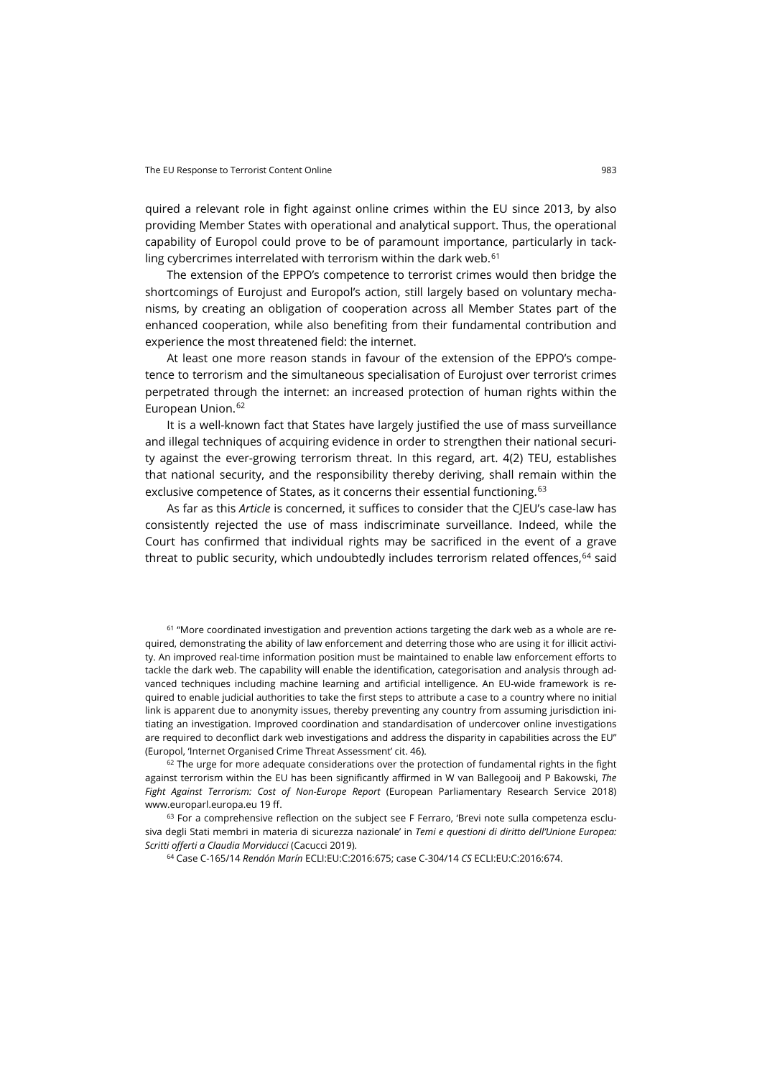quired a relevant role in fight against online crimes within the EU since 2013, by also providing Member States with operational and analytical support. Thus, the operational capability of Europol could prove to be of paramount importance, particularly in tackling cybercrimes interrelated with terrorism within the dark web. [61](#page-16-0)

The extension of the EPPO's competence to terrorist crimes would then bridge the shortcomings of Eurojust and Europol's action, still largely based on voluntary mechanisms, by creating an obligation of cooperation across all Member States part of the enhanced cooperation, while also benefiting from their fundamental contribution and experience the most threatened field: the internet.

At least one more reason stands in favour of the extension of the EPPO's competence to terrorism and the simultaneous specialisation of Eurojust over terrorist crimes perpetrated through the internet: an increased protection of human rights within the European Union.<sup>[62](#page-16-1)</sup>

It is a well-known fact that States have largely justified the use of mass surveillance and illegal techniques of acquiring evidence in order to strengthen their national security against the ever-growing terrorism threat. In this regard, art. 4(2) TEU, establishes that national security, and the responsibility thereby deriving, shall remain within the exclusive competence of States, as it concerns their essential functioning.<sup>[63](#page-16-2)</sup>

As far as this *Article* is concerned, it suffices to consider that the CJEU's case-law has consistently rejected the use of mass indiscriminate surveillance. Indeed, while the Court has confirmed that individual rights may be sacrificed in the event of a grave threat to public security, which undoubtedly includes terrorism related offences, <sup>[64](#page-16-3)</sup> said

<span id="page-16-0"></span><sup>61</sup> "More coordinated investigation and prevention actions targeting the dark web as a whole are required, demonstrating the ability of law enforcement and deterring those who are using it for illicit activity. An improved real-time information position must be maintained to enable law enforcement efforts to tackle the dark web. The capability will enable the identification, categorisation and analysis through advanced techniques including machine learning and artificial intelligence. An EU-wide framework is required to enable judicial authorities to take the first steps to attribute a case to a country where no initial link is apparent due to anonymity issues, thereby preventing any country from assuming jurisdiction initiating an investigation. Improved coordination and standardisation of undercover online investigations are required to deconflict dark web investigations and address the disparity in capabilities across the EU" (Europol, 'Internet Organised Crime Threat Assessment' cit. 46).

<span id="page-16-1"></span> $62$  The urge for more adequate considerations over the protection of fundamental rights in the fight against terrorism within the EU has been significantly affirmed in W van Ballegooij and P Bakowski, *The Fight Against Terrorism: Cost of Non-Europe Report* (European Parliamentary Research Service 2018) [www.europarl.europa.eu](https://www.europarl.europa.eu/RegData/etudes/STUD/2018/621817/EPRS_STU(2018)621817_EN.pdf) 19 ff.

<span id="page-16-3"></span><span id="page-16-2"></span><sup>63</sup> For a comprehensive reflection on the subject see F Ferraro, 'Brevi note sulla competenza esclusiva degli Stati membri in materia di sicurezza nazionale' in *Temi e questioni di diritto dell'Unione Europea: Scritti offerti a Claudia Morviducci* (Cacucci 2019).

<sup>64</sup> Case C-165/14 *Rendón Marín* ECLI:EU:C:2016:675; case C-304/14 *CS* ECLI:EU:C:2016:674.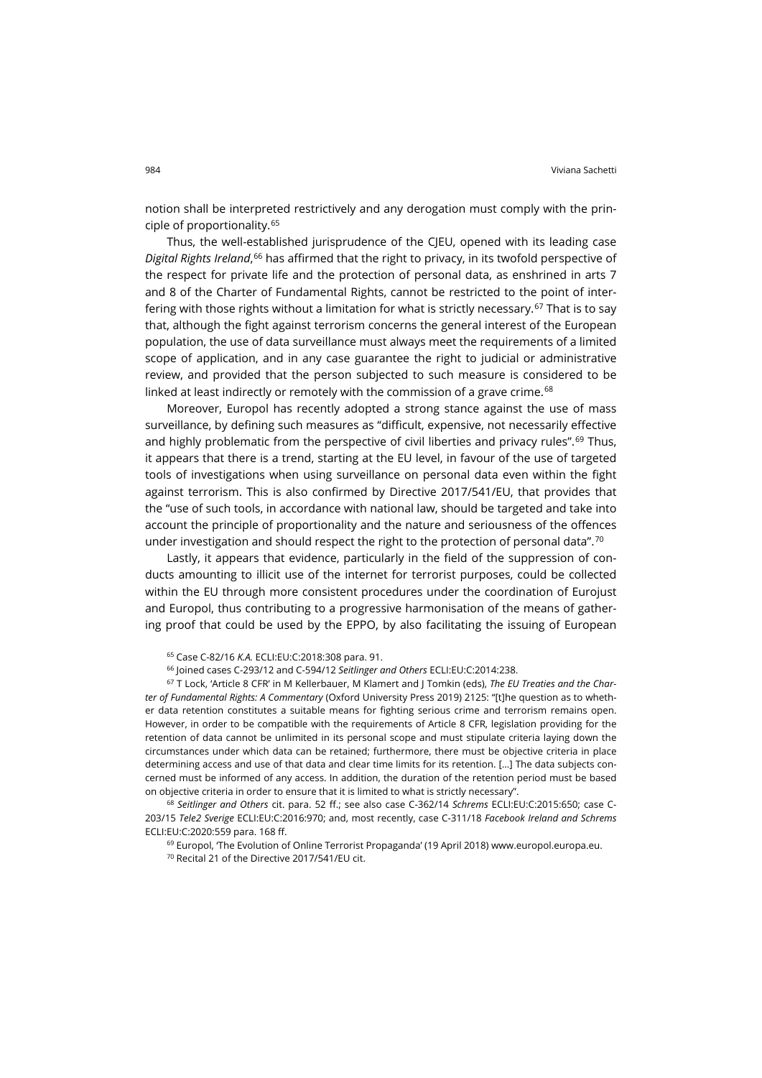notion shall be interpreted restrictively and any derogation must comply with the principle of proportionality.[65](#page-17-0)

Thus, the well-established jurisprudence of the CJEU, opened with its leading case *Digital Rights Ireland*, [66](#page-17-1) has affirmed that the right to privacy, in its twofold perspective of the respect for private life and the protection of personal data, as enshrined in arts 7 and 8 of the Charter of Fundamental Rights, cannot be restricted to the point of inter-fering with those rights without a limitation for what is strictly necessary.<sup>[67](#page-17-2)</sup> That is to say that, although the fight against terrorism concerns the general interest of the European population, the use of data surveillance must always meet the requirements of a limited scope of application, and in any case guarantee the right to judicial or administrative review, and provided that the person subjected to such measure is considered to be linked at least indirectly or remotely with the commission of a grave crime.<sup>[68](#page-17-3)</sup>

Moreover, Europol has recently adopted a strong stance against the use of mass surveillance, by defining such measures as "difficult, expensive, not necessarily effective and highly problematic from the perspective of civil liberties and privacy rules".<sup>[69](#page-17-4)</sup> Thus, it appears that there is a trend, starting at the EU level, in favour of the use of targeted tools of investigations when using surveillance on personal data even within the fight against terrorism. This is also confirmed by Directive 2017/541/EU, that provides that the "use of such tools, in accordance with national law, should be targeted and take into account the principle of proportionality and the nature and seriousness of the offences under investigation and should respect the right to the protection of personal data".<sup>[70](#page-17-5)</sup>

Lastly, it appears that evidence, particularly in the field of the suppression of conducts amounting to illicit use of the internet for terrorist purposes, could be collected within the EU through more consistent procedures under the coordination of Eurojust and Europol, thus contributing to a progressive harmonisation of the means of gathering proof that could be used by the EPPO, by also facilitating the issuing of European

<span id="page-17-2"></span><span id="page-17-1"></span><span id="page-17-0"></span><sup>67</sup> T Lock, 'Article 8 CFR' in M Kellerbauer, M Klamert and J Tomkin (eds), *The EU Treaties and the Charter of Fundamental Rights: A Commentary* (Oxford University Press 2019) 2125: "[t]he question as to whether data retention constitutes a suitable means for fighting serious crime and terrorism remains open. However, in order to be compatible with the requirements of Article 8 CFR, legislation providing for the retention of data cannot be unlimited in its personal scope and must stipulate criteria laying down the circumstances under which data can be retained; furthermore, there must be objective criteria in place determining access and use of that data and clear time limits for its retention. […] The data subjects concerned must be informed of any access. In addition, the duration of the retention period must be based on objective criteria in order to ensure that it is limited to what is strictly necessary".

<span id="page-17-5"></span><span id="page-17-4"></span><span id="page-17-3"></span><sup>68</sup> *Seitlinger and Others* cit. para. 52 ff.; see also case C-362/14 *Schrems* ECLI:EU:C:2015:650; case C-203/15 *Tele2 Sverige* ECLI:EU:C:2016:970; and, most recently, case C-311/18 *Facebook Ireland and Schrems* ECLI:EU:C:2020:559 para. 168 ff.

 $<sup>69</sup>$  Europol, 'The Evolution of Online Terrorist Propaganda' (19 April 2018[\) www.europol.europa.eu.](https://www.europol.europa.eu/newsroom/news/evolution-of-online-terrorist-propaganda)</sup>

<sup>70</sup> Recital 21 of the Directive 2017/541/EU cit.

<sup>65</sup> Case C-82/16 *K.A.* ECLI:EU:C:2018:308 para. 91.

<sup>66</sup> Joined cases C-293/12 and C-594/12 *Seitlinger and Others* ECLI:EU:C:2014:238.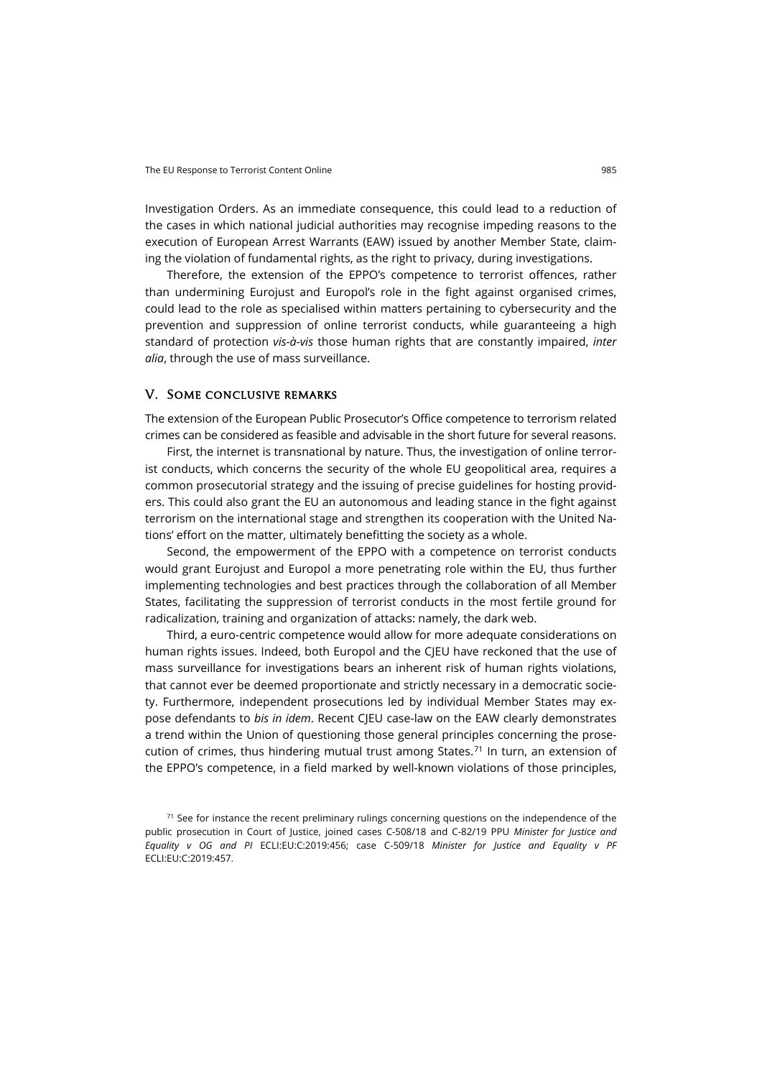Investigation Orders. As an immediate consequence, this could lead to a reduction of the cases in which national judicial authorities may recognise impeding reasons to the execution of European Arrest Warrants (EAW) issued by another Member State, claiming the violation of fundamental rights, as the right to privacy, during investigations.

Therefore, the extension of the EPPO's competence to terrorist offences, rather than undermining Eurojust and Europol's role in the fight against organised crimes, could lead to the role as specialised within matters pertaining to cybersecurity and the prevention and suppression of online terrorist conducts, while guaranteeing a high standard of protection *vis-à-vis* those human rights that are constantly impaired, *inter alia*, through the use of mass surveillance.

#### V. Some conclusive remarks

The extension of the European Public Prosecutor's Office competence to terrorism related crimes can be considered as feasible and advisable in the short future for several reasons.

First, the internet is transnational by nature. Thus, the investigation of online terrorist conducts, which concerns the security of the whole EU geopolitical area, requires a common prosecutorial strategy and the issuing of precise guidelines for hosting providers. This could also grant the EU an autonomous and leading stance in the fight against terrorism on the international stage and strengthen its cooperation with the United Nations' effort on the matter, ultimately benefitting the society as a whole.

Second, the empowerment of the EPPO with a competence on terrorist conducts would grant Eurojust and Europol a more penetrating role within the EU, thus further implementing technologies and best practices through the collaboration of all Member States, facilitating the suppression of terrorist conducts in the most fertile ground for radicalization, training and organization of attacks: namely, the dark web.

Third, a euro-centric competence would allow for more adequate considerations on human rights issues. Indeed, both Europol and the CJEU have reckoned that the use of mass surveillance for investigations bears an inherent risk of human rights violations, that cannot ever be deemed proportionate and strictly necessary in a democratic society. Furthermore, independent prosecutions led by individual Member States may expose defendants to *bis in idem*. Recent CJEU case-law on the EAW clearly demonstrates a trend within the Union of questioning those general principles concerning the prosecution of crimes, thus hindering mutual trust among States. $71$  In turn, an extension of the EPPO's competence, in a field marked by well-known violations of those principles,

<span id="page-18-0"></span> $71$  See for instance the recent preliminary rulings concerning questions on the independence of the public prosecution in Court of Justice, joined cases C-508/18 and C-82/19 PPU *Minister for Justice and Equality v OG and PI* ECLI:EU:C:2019:456; case C-509/18 *Minister for Justice and Equality v PF* ECLI:EU:C:2019:457.